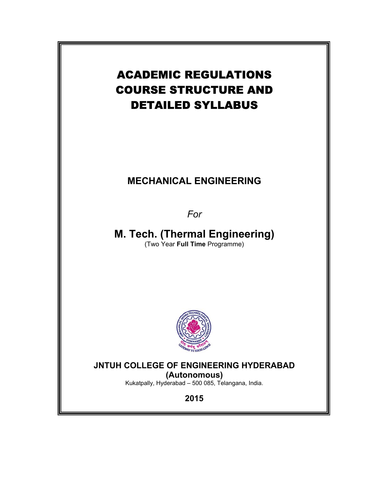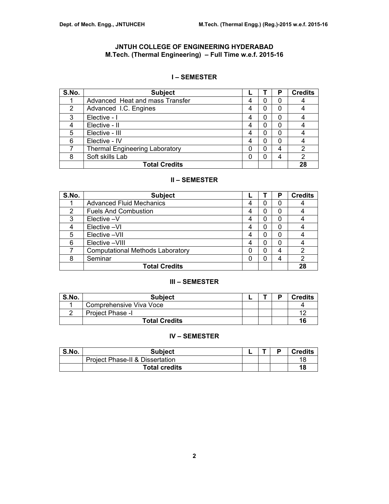# **JNTUH COLLEGE OF ENGINEERING HYDERABAD M.Tech. (Thermal Engineering) – Full Time w.e.f. 2015-16**

# **I – SEMESTER**

| S.No. | <b>Subject</b>                        |   | Р | <b>Credits</b> |
|-------|---------------------------------------|---|---|----------------|
|       | Advanced Heat and mass Transfer       |   | 0 |                |
| 2     | Advanced I.C. Engines                 |   | 0 |                |
| 3     | Elective - I                          |   | 0 |                |
|       | Elective - II                         |   | 0 |                |
| 5     | Elective - III                        | 4 | 0 |                |
| 6     | Elective - IV                         |   | 0 |                |
|       | <b>Thermal Engineering Laboratory</b> |   | 4 | 2              |
| 8     | Soft skills Lab                       |   | 4 | 2              |
|       | <b>Total Credits</b>                  |   |   | 28             |

# **II – SEMESTER**

| S.No. | <b>Subject</b>                          |   | Р | <b>Credits</b> |
|-------|-----------------------------------------|---|---|----------------|
|       | <b>Advanced Fluid Mechanics</b>         | 0 | 0 |                |
| 2     | <b>Fuels And Combustion</b>             |   | 0 |                |
| 3     | Elective -V                             | 0 | 0 |                |
|       | Elective -VI                            | 0 | 0 |                |
| 5     | Elective -VII                           |   | 0 |                |
| 6     | Elective -VIII                          | 0 | 0 |                |
|       | <b>Computational Methods Laboratory</b> | 0 | 4 | 2              |
| 8     | Seminar                                 | 0 | 4 | 2              |
|       | <b>Total Credits</b>                    |   |   | 28             |

## **III – SEMESTER**

| S.No. | <b>Subject</b>          |  | D | <b>Credits</b> |
|-------|-------------------------|--|---|----------------|
|       | Comprehensive Viva Voce |  |   |                |
|       | Project Phase -I        |  |   | 11             |
|       | <b>Total Credits</b>    |  |   | 16             |

# **IV – SEMESTER**

| S.No. | <b>Subject</b>                             |  | D | <b>Credits</b> |
|-------|--------------------------------------------|--|---|----------------|
|       | <b>Project Phase-II &amp; Dissertation</b> |  |   | 18             |
|       | Total credits                              |  |   | 18             |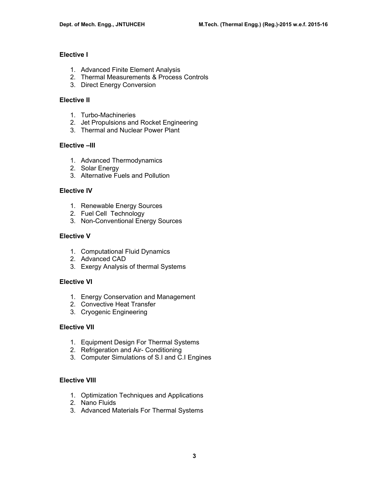# **Elective I**

- 1. Advanced Finite Element Analysis
- 2. Thermal Measurements & Process Controls
- 3. Direct Energy Conversion

## **Elective II**

- 1. Turbo-Machineries
- 2. Jet Propulsions and Rocket Engineering
- 3. Thermal and Nuclear Power Plant

### **Elective –III**

- 1. Advanced Thermodynamics
- 2. Solar Energy
- 3. Alternative Fuels and Pollution

### **Elective IV**

- 1. Renewable Energy Sources
- 2. Fuel Cell Technology
- 3. Non-Conventional Energy Sources

### **Elective V**

- 1. Computational Fluid Dynamics
- 2. Advanced CAD
- 3. Exergy Analysis of thermal Systems

## **Elective VI**

- 1. Energy Conservation and Management
- 2. Convective Heat Transfer
- 3. Cryogenic Engineering

## **Elective VII**

- 1. Equipment Design For Thermal Systems
- 2. Refrigeration and Air- Conditioning
- 3. Computer Simulations of S.I and C.I Engines

### **Elective VIII**

- 1. Optimization Techniques and Applications
- 2. Nano Fluids
- 3. Advanced Materials For Thermal Systems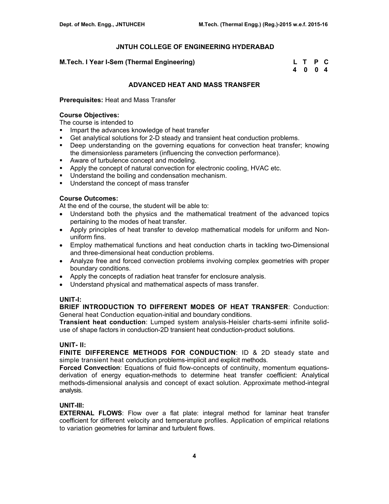### **M.Tech. I Year I-Sem (Thermal Engineering)**

| M.Tech. I Year I-Sem (Thermal Engineering) | L T P C |  |
|--------------------------------------------|---------|--|
|                                            | 4004    |  |

## **ADVANCED HEAT AND MASS TRANSFER**

### **Prerequisites:** Heat and Mass Transfer

### **Course Objectives:**

The course is intended to

- Impart the advances knowledge of heat transfer
- Get analytical solutions for 2-D steady and transient heat conduction problems.
- Deep understanding on the governing equations for convection heat transfer; knowing the dimensionless parameters (influencing the convection performance).
- Aware of turbulence concept and modeling.
- Apply the concept of natural convection for electronic cooling, HVAC etc.
- **Understand the boiling and condensation mechanism.**
- **Understand the concept of mass transfer**

## **Course Outcomes:**

At the end of the course, the student will be able to:

- Understand both the physics and the mathematical treatment of the advanced topics pertaining to the modes of heat transfer.
- Apply principles of heat transfer to develop mathematical models for uniform and Nonuniform fins.
- Employ mathematical functions and heat conduction charts in tackling two-Dimensional and three-dimensional heat conduction problems.
- Analyze free and forced convection problems involving complex geometries with proper boundary conditions.
- Apply the concepts of radiation heat transfer for enclosure analysis.
- Understand physical and mathematical aspects of mass transfer.

## **UNIT-I:**

**BRIEF INTRODUCTION TO DIFFERENT MODES OF HEAT TRANSFER**: Conduction: General heat Conduction equation-initial and boundary conditions.

**Transient heat conduction**: Lumped system analysis-Heisler charts-semi infinite soliduse of shape factors in conduction-2D transient heat conduction-product solutions.

### **UNIT- II:**

**FINITE DIFFERENCE METHODS FOR CONDUCTION**: ID & 2D steady state and simple transient heat conduction problems-implicit and explicit methods.

**Forced Convection**: Equations of fluid flow-concepts of continuity, momentum equationsderivation of energy equation-methods to determine heat transfer coefficient: Analytical methods-dimensional analysis and concept of exact solution. Approximate method-integral analysis.

## **UNIT-III:**

**EXTERNAL FLOWS**: Flow over a flat plate: integral method for laminar heat transfer coefficient for different velocity and temperature profiles. Application of empirical relations to variation geometries for laminar and turbulent flows.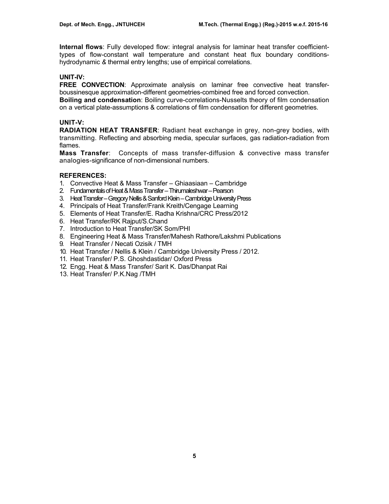**Internal flows**: Fully developed flow: integral analysis for laminar heat transfer coefficienttypes of flow-constant wall temperature and constant heat flux boundary conditionshydrodynamic *&* thermal entry lengths; use of empirical correlations.

## **UNIT-IV:**

**FREE CONVECTION**: Approximate analysis on laminar free convective heat transferboussinesque approximation-different geometries-combined free and forced convection. **Boiling and condensation**: Boiling curve-correlations-Nusselts theory of film condensation

on a vertical plate-assumptions & correlations of film condensation for different geometries.

# **UNIT-V:**

**RADIATION HEAT TRANSFER**: Radiant heat exchange in grey, non-grey bodies, with transmitting. Reflecting and absorbing media, specular surfaces, gas radiation-radiation from flames.

**Mass Transfer**: Concepts of mass transfer-diffusion & convective mass transfer analogies-significance of non-dimensional numbers.

# **REFERENCES:**

- 1. Convective Heat & Mass Transfer Ghiaasiaan Cambridge
- 2. Fundamentals of Heat & Mass Transfer Thirumaleshwar Pearson
- 3. Heat Transfer Gregory Nellis & Sanford Klein Cambridge University Press
- 4. Principals of Heat Transfer/Frank Kreith/Cengage Learning
- 5. Elements of Heat Transfer/E. Radha Krishna/CRC Press/2012
- 6. Heat Transfer/RK Rajput/S.Chand
- 7. Introduction to Heat Transfer/SK Som/PHI
- 8. Engineering Heat & Mass Transfer/Mahesh Rathore/Lakshmi Publications
- 9. Heat Transfer / Necati Ozisik / TMH
- 10. Heat Transfer / Nellis & Klein / Cambridge University Press / 2012.
- 11. Heat Transfer/ P.S. Ghoshdastidar/ Oxford Press
- 12. Engg. Heat & Mass Transfer/ Sarit K. Das/Dhanpat Rai
- 13. Heat Transfer/ P.K.Nag /TMH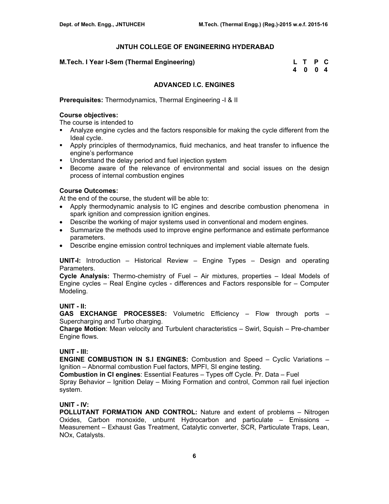### **M.Tech. I Year I-Sem (Thermal Engineering)**

| M.Tech. I Year I-Sem (Thermal Engineering) | L T P C |  |
|--------------------------------------------|---------|--|
|                                            | 4004    |  |

### **ADVANCED I.C. ENGINES**

**Prerequisites:** Thermodynamics, Thermal Engineering -I & II

## **Course objectives:**

The course is intended to

- Analyze engine cycles and the factors responsible for making the cycle different from the Ideal cycle.
- Apply principles of thermodynamics, fluid mechanics, and heat transfer to influence the engine's performance
- **Understand the delay period and fuel injection system**
- Become aware of the relevance of environmental and social issues on the design process of internal combustion engines

### **Course Outcomes:**

At the end of the course, the student will be able to:

- Apply thermodynamic analysis to IC engines and describe combustion phenomena in spark ignition and compression ignition engines.
- Describe the working of major systems used in conventional and modern engines.
- Summarize the methods used to improve engine performance and estimate performance parameters.
- Describe engine emission control techniques and implement viable alternate fuels.

**UNIT-I:** Introduction – Historical Review – Engine Types – Design and operating Parameters.

**Cycle Analysis:** Thermo-chemistry of Fuel – Air mixtures, properties – Ideal Models of Engine cycles – Real Engine cycles - differences and Factors responsible for – Computer Modeling.

## **UNIT - II:**

**GAS EXCHANGE PROCESSES:** Volumetric Efficiency – Flow through ports – Supercharging and Turbo charging.

**Charge Motion**: Mean velocity and Turbulent characteristics – Swirl, Squish – Pre-chamber Engine flows.

## **UNIT - III:**

**ENGINE COMBUSTION IN S.I ENGINES:** Combustion and Speed – Cyclic Variations – Ignition – Abnormal combustion Fuel factors, MPFI, SI engine testing.

**Combustion in CI engines**: Essential Features – Types off Cycle. Pr. Data – Fuel Spray Behavior – Ignition Delay – Mixing Formation and control, Common rail fuel injection system.

## **UNIT - IV:**

**POLLUTANT FORMATION AND CONTROL:** Nature and extent of problems – Nitrogen Oxides, Carbon monoxide, unburnt Hydrocarbon and particulate – Emissions – Measurement – Exhaust Gas Treatment, Catalytic converter, SCR, Particulate Traps, Lean, NOx, Catalysts.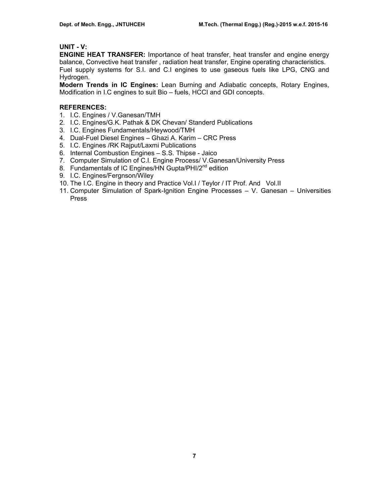# **UNIT - V:**

**ENGINE HEAT TRANSFER:** Importance of heat transfer, heat transfer and engine energy balance, Convective heat transfer , radiation heat transfer, Engine operating characteristics. Fuel supply systems for S.I. and C.I engines to use gaseous fuels like LPG, CNG and Hydrogen.

**Modern Trends in IC Engines:** Lean Burning and Adiabatic concepts, Rotary Engines, Modification in I.C engines to suit Bio – fuels, HCCI and GDI concepts.

## **REFERENCES:**

- 1. I.C. Engines / V.Ganesan/TMH
- 2. I.C. Engines/G.K. Pathak & DK Chevan/ Standerd Publications
- 3. I.C. Engines Fundamentals/Heywood/TMH
- 4. Dual-Fuel Diesel Engines Ghazi A. Karim CRC Press
- 5. I.C. Engines /RK Rajput/Laxmi Publications
- 6. Internal Combustion Engines S.S. Thipse Jaico
- 7. Computer Simulation of C.I. Engine Process/ V.Ganesan/University Press
- 8. Fundamentals of IC Engines/HN Gupta/PHI/2<sup>nd</sup> edition
- 9. I.C. Engines/Fergnson/Wiley
- 10. The I.C. Engine in theory and Practice Vol.I / Teylor / IT Prof. And Vol.II
- 11. Computer Simulation of Spark-Ignition Engine Processes V. Ganesan Universities Press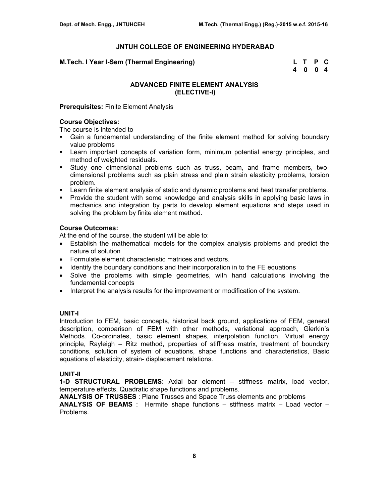### **M.Tech. I Year I-Sem (Thermal Engineering) L T P C**

 **4 0 0 4** 

# **ADVANCED FINITE ELEMENT ANALYSIS (ELECTIVE-I)**

### **Prerequisites:** Finite Element Analysis

### **Course Objectives:**

The course is intended to

- Gain a fundamental understanding of the finite element method for solving boundary value problems
- Learn important concepts of variation form, minimum potential energy principles, and method of weighted residuals.
- Study one dimensional problems such as truss, beam, and frame members, twodimensional problems such as plain stress and plain strain elasticity problems, torsion problem.
- **EXECT** Learn finite element analysis of static and dynamic problems and heat transfer problems.
- **Provide the student with some knowledge and analysis skills in applying basic laws in** mechanics and integration by parts to develop element equations and steps used in solving the problem by finite element method.

### **Course Outcomes:**

At the end of the course, the student will be able to:

- Establish the mathematical models for the complex analysis problems and predict the nature of solution
- Formulate element characteristic matrices and vectors.
- Identify the boundary conditions and their incorporation in to the FE equations
- Solve the problems with simple geometries, with hand calculations involving the fundamental concepts
- Interpret the analysis results for the improvement or modification of the system.

## **UNIT-I**

Introduction to FEM, basic concepts, historical back ground, applications of FEM, general description, comparison of FEM with other methods, variational approach, Glerkin's Methods. Co-ordinates, basic element shapes, interpolation function, Virtual energy principle, Rayleigh – Ritz method, properties of stiffness matrix, treatment of boundary conditions, solution of system of equations, shape functions and characteristics, Basic equations of elasticity, strain- displacement relations.

### **UNIT-II**

**1-D STRUCTURAL PROBLEMS**: Axial bar element – stiffness matrix, load vector, temperature effects, Quadratic shape functions and problems.

**ANALYSIS OF TRUSSES** : Plane Trusses and Space Truss elements and problems

**ANALYSIS OF BEAMS** : Hermite shape functions – stiffness matrix – Load vector – Problems.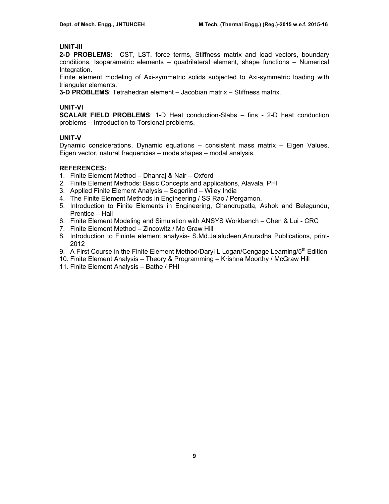# **UNIT-III**

**2-D PROBLEMS:** CST, LST, force terms, Stiffness matrix and load vectors, boundary conditions, Isoparametric elements – quadrilateral element, shape functions – Numerical Integration.

Finite element modeling of Axi-symmetric solids subjected to Axi-symmetric loading with triangular elements.

**3-D PROBLEMS**: Tetrahedran element – Jacobian matrix – Stiffness matrix.

## **UNIT-VI**

**SCALAR FIELD PROBLEMS**: 1-D Heat conduction-Slabs – fins - 2-D heat conduction problems – Introduction to Torsional problems.

# **UNIT-V**

Dynamic considerations, Dynamic equations – consistent mass matrix – Eigen Values, Eigen vector, natural frequencies – mode shapes – modal analysis.

# **REFERENCES:**

- 1. Finite Element Method Dhanraj & Nair Oxford
- 2. Finite Element Methods: Basic Concepts and applications, Alavala, PHI
- 3. Applied Finite Element Analysis Segerlind Wiley India
- 4. The Finite Element Methods in Engineering / SS Rao / Pergamon.
- 5. Introduction to Finite Elements in Engineering, Chandrupatla, Ashok and Belegundu, Prentice – Hall
- 6. Finite Element Modeling and Simulation with ANSYS Workbench Chen & Lui CRC
- 7. Finite Element Method Zincowitz / Mc Graw Hill
- 8. Introduction to Fininte element analysis- S.Md.Jalaludeen,Anuradha Publications, print-2012
- 9. A First Course in the Finite Element Method/Daryl L Logan/Cengage Learning/ $5<sup>th</sup>$  Edition
- 10. Finite Element Analysis Theory & Programming Krishna Moorthy / McGraw Hill
- 11. Finite Element Analysis Bathe / PHI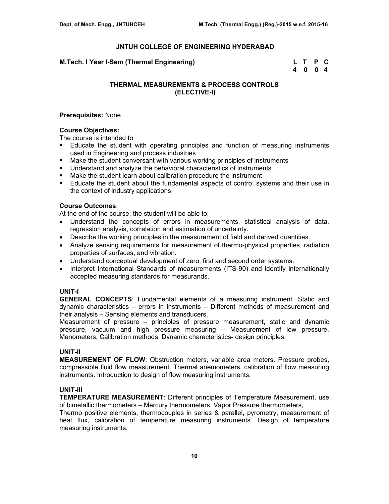**M.Tech. I Year I-Sem (Thermal Engineering)** 

|  | L T P C |  |
|--|---------|--|
|  | 4 0 0 4 |  |

# **THERMAL MEASUREMENTS & PROCESS CONTROLS (ELECTIVE-I)**

### **Prerequisites:** None

## **Course Objectives:**

The course is intended to

- Educate the student with operating principles and function of measuring instruments used in Engineering and process industries
- Make the student conversant with various working principles of instruments
- Understand and analyze the behavioral characteristics of instruments
- Make the student learn about calibration procedure the instrument
- Educate the student about the fundamental aspects of contro; systems and their use in the context of industry applications

### **Course Outcomes**:

At the end of the course, the student will be able to:

- Understand the concepts of errors in measurements, statistical analysis of data, regression analysis, correlation and estimation of uncertainty.
- Describe the working principles in the measurement of field and derived quantities.
- Analyze sensing requirements for measurement of thermo-physical properties, radiation properties of surfaces, and vibration.
- Understand conceptual development of zero, first and second order systems.
- Interpret International Standards of measurements (ITS-90) and identify internationally accepted measuring standards for measurands.

## **UNIT-I**

**GENERAL CONCEPTS**: Fundamental elements of a measuring instrument. Static and dynamic characteristics – errors in instruments – Different methods of measurement and their analysis – Sensing elements and transducers.

Measurement of pressure – principles of pressure measurement, static and dynamic pressure, vacuum and high pressure measuring – Measurement of low pressure, Manometers, Calibration methods, Dynamic characteristics- design principles.

## **UNIT-II**

**MEASUREMENT OF FLOW**: Obstruction meters, variable area meters. Pressure probes, compressible fluid flow measurement, Thermal anemometers, calibration of flow measuring instruments. Introduction to design of flow measuring instruments.

## **UNIT-III**

**TEMPERATURE MEASUREMENT**: Different principles of Temperature Measurement, use of bimetallic thermometers – Mercury thermometers, Vapor Pressure thermometers,

Thermo positive elements, thermocouples in series & parallel, pyrometry, measurement of heat flux, calibration of temperature measuring instruments. Design of temperature measuring instruments.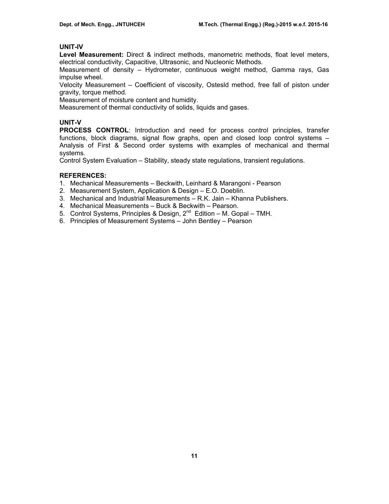# **UNIT-IV**

**Level Measurement:** Direct & indirect methods, manometric methods, float level meters, electrical conductivity, Capacitive, Ultrasonic, and Nucleonic Methods.

Measurement of density – Hydrometer, continuous weight method, Gamma rays, Gas impulse wheel.

Velocity Measurement – Coefficient of viscosity, Ostesld method, free fall of piston under gravity, torque method.

Measurement of moisture content and humidity.

Measurement of thermal conductivity of solids, liquids and gases.

# **UNIT-V**

**PROCESS CONTROL**: Introduction and need for process control principles, transfer functions, block diagrams, signal flow graphs, open and closed loop control systems – Analysis of First & Second order systems with examples of mechanical and thermal systems.

Control System Evaluation – Stability, steady state regulations, transient regulations.

# **REFERENCES:**

- 1. Mechanical Measurements Beckwith, Leinhard & Marangoni Pearson
- 2. Measurement System, Application & Design E.O. Doeblin.
- 3. Mechanical and Industrial Measurements R.K. Jain Khanna Publishers.
- 4. Mechanical Measurements Buck & Beckwith Pearson.
- 5. Control Systems, Principles & Design,  $2^{nd}$  Edition M. Gopal TMH.
- 6. Principles of Measurement Systems John Bentley Pearson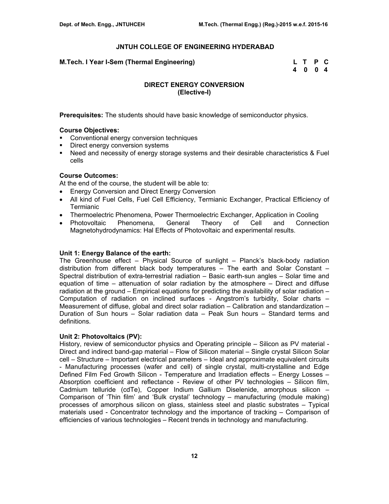| M.Tech. I Year I-Sem (Thermal Engineering) | L T P C |  |
|--------------------------------------------|---------|--|
|                                            | 4004    |  |

# **DIRECT ENERGY CONVERSION (Elective-I)**

**Prerequisites:** The students should have basic knowledge of semiconductor physics.

### **Course Objectives:**

- **Conventional energy conversion techniques**
- **Direct energy conversion systems**
- Need and necessity of energy storage systems and their desirable characteristics & Fuel cells

# **Course Outcomes:**

At the end of the course, the student will be able to:

- Energy Conversion and Direct Energy Conversion
- All kind of Fuel Cells, Fuel Cell Efficiency, Termianic Exchanger, Practical Efficiency of **Termianic**
- Thermoelectric Phenomena, Power Thermoelectric Exchanger, Application in Cooling
- Photovoltaic Phenomena, General Theory of Cell and Connection Magnetohydrodynamics: Hal Effects of Photovoltaic and experimental results.

#### **Unit 1: Energy Balance of the earth:**

The Greenhouse effect – Physical Source of sunlight – Planck's black-body radiation distribution from different black body temperatures – The earth and Solar Constant – Spectral distribution of extra-terrestrial radiation – Basic earth-sun angles – Solar time and equation of time – attenuation of solar radiation by the atmosphere – Direct and diffuse radiation at the ground – Empirical equations for predicting the availability of solar radiation – Computation of radiation on inclined surfaces - Angstrom's turbidity, Solar charts – Measurement of diffuse, global and direct solar radiation – Calibration and standardization – Duration of Sun hours – Solar radiation data – Peak Sun hours – Standard terms and definitions.

#### **Unit 2: Photovoltaics (PV):**

History, review of semiconductor physics and Operating principle – Silicon as PV material - Direct and indirect band-gap material – Flow of Silicon material – Single crystal Silicon Solar cell – Structure – Important electrical parameters – Ideal and approximate equivalent circuits - Manufacturing processes (wafer and cell) of single crystal, multi-crystalline and Edge Defined Film Fed Growth Silicon - Temperature and Irradiation effects – Energy Losses – Absorption coefficient and reflectance - Review of other PV technologies – Silicon film, Cadmium telluride (cdTe), Copper Indium Gallium Diselenide, amorphous silicon – Comparison of 'Thin film' and 'Bulk crystal' technology – manufacturing (module making) processes of amorphous silicon on glass, stainless steel and plastic substrates – Typical materials used - Concentrator technology and the importance of tracking – Comparison of efficiencies of various technologies – Recent trends in technology and manufacturing.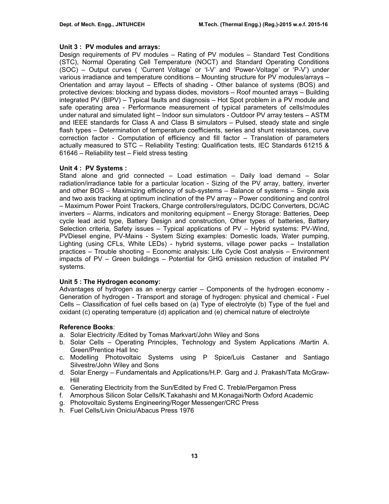### **Unit 3 : PV modules and arrays:**

Design requirements of PV modules – Rating of PV modules – Standard Test Conditions (STC), Normal Operating Cell Temperature (NOCT) and Standard Operating Conditions (SOC) – Output curves ( 'Current Voltage' or 'I-V' and 'Power-Voltage' or 'P-V') under various irradiance and temperature conditions – Mounting structure for PV modules/arrays – Orientation and array layout – Effects of shading - Other balance of systems (BOS) and protective devices: blocking and bypass diodes, movistors – Roof mounted arrays – Building integrated PV (BIPV) – Typical faults and diagnosis – Hot Spot problem in a PV module and safe operating area - Performance measurement of typical parameters of cells/modules under natural and simulated light – Indoor sun simulators - Outdoor PV array testers – ASTM and IEEE standards for Class A and Class B simulators – Pulsed, steady state and single flash types – Determination of temperature coefficients, series and shunt resistances, curve correction factor - Computation of efficiency and fill factor – Translation of parameters actually measured to STC – Reliability Testing: Qualification tests, IEC Standards 61215 & 61646 – Reliability test – Field stress testing

#### **Unit 4 : PV Systems :**

Stand alone and grid connected – Load estimation – Daily load demand – Solar radiation/irradiance table for a particular location - Sizing of the PV array, battery, inverter and other BOS – Maximizing efficiency of sub-systems – Balance of systems – Single axis and two axis tracking at optimum inclination of the PV array – Power conditioning and control – Maximum Power Point Trackers, Charge controllers/regulators, DC/DC Converters, DC/AC inverters – Alarms, indicators and monitoring equipment – Energy Storage: Batteries, Deep cycle lead acid type, Battery Design and construction, Other types of batteries, Battery Selection criteria, Safety issues – Typical applications of PV – Hybrid systems: PV-Wind, PVDiesel engine, PV-Mains - System Sizing examples: Domestic loads, Water pumping, Lighting (using CFLs, White LEDs) - hybrid systems, village power packs – Installation practices – Trouble shooting – Economic analysis: Life Cycle Cost analysis – Environment impacts of PV – Green buildings – Potential for GHG emission reduction of installed PV systems.

#### **Unit 5 : The Hydrogen economy:**

Advantages of hydrogen as an energy carrier – Components of the hydrogen economy - Generation of hydrogen - Transport and storage of hydrogen: physical and chemical - Fuel Cells – Classification of fuel cells based on (a) Type of electrolyte (b) Type of the fuel and oxidant (c) operating temperature (d) application and (e) chemical nature of electrolyte

#### **Reference Books**:

- a. Solar Electricity /Edited by Tomas Markvart/John Wiley and Sons
- b. Solar Cells Operating Principles, Technology and System Applications /Martin A. Green/Prentice Hall Inc
- c. Modelling Photovoltaic Systems using P Spice/Luis Castaner and Santiago Silvestre/John Wiley and Sons
- d. Solar Energy Fundamentals and Applications/H.P. Garg and J. Prakash/Tata McGraw-Hill
- e. Generating Electricity from the Sun/Edited by Fred C. Treble/Pergamon Press
- f. Amorphous Silicon Solar Cells/K.Takahashi and M.Konagai/North Oxford Academic
- g. Photovoltaic Systems Engineering/Roger Messenger/CRC Press
- h. Fuel Cells/Livin Oniciu/Abacus Press 1976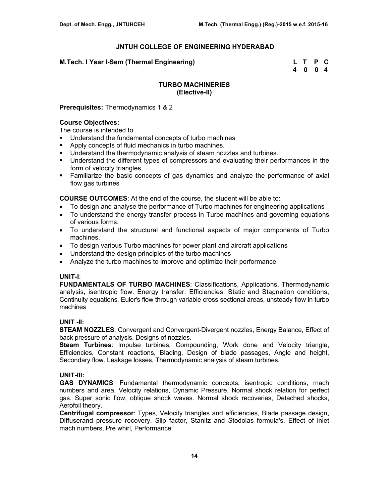**M.Tech. I Year I-Sem (Thermal Engineering) L T P C** 

 **4 0 0 4** 

## **TURBO MACHINERIES (Elective-II)**

**Prerequisites:** Thermodynamics 1 & 2

### **Course Objectives:**

The course is intended to

- Understand the fundamental concepts of turbo machines
- **Apply concepts of fluid mechanics in turbo machines.**
- **Understand the thermodynamic analysis of steam nozzles and turbines.**
- Understand the different types of compressors and evaluating their performances in the form of velocity triangles.
- Familiarize the basic concepts of gas dynamics and analyze the performance of axial flow gas turbines

**COURSE OUTCOMES**: At the end of the course, the student will be able to:

- To design and analyse the performance of Turbo machines for engineering applications
- To understand the energy transfer process in Turbo machines and governing equations of various forms.
- To understand the structural and functional aspects of major components of Turbo machines.
- To design various Turbo machines for power plant and aircraft applications
- Understand the design principles of the turbo machines
- Analyze the turbo machines to improve and optimize their performance

#### **UNIT-I**:

**FUNDAMENTALS OF TURBO MACHINES**: Classifications, Applications, Thermodynamic analysis, isentropic flow. Energy transfer. Efficiencies, Static and Stagnation conditions, Continuity equations, Euler's flow through variable cross sectional areas, unsteady flow in turbo machines

## **UNIT -II:**

**STEAM NOZZLES**: Convergent and Convergent-Divergent nozzles, Energy Balance, Effect of back pressure of analysis. Designs of nozzles.

**Steam Turbines**: Impulse turbines, Compounding, Work done and Velocity triangle, Efficiencies, Constant reactions, Blading, Design of blade passages, Angle and height, Secondary flow. Leakage losses, Thermodynamic analysis of steam turbines.

## **UNIT-III:**

**GAS DYNAMICS**: Fundamental thermodynamic concepts, isentropic conditions, mach numbers and area, Velocity relations, Dynamic Pressure, Normal shock relation for perfect gas. Super sonic flow, oblique shock waves. Normal shock recoveries, Detached shocks, Aerofoil theory.

**Centrifugal compressor**: Types, Velocity triangles and efficiencies, Blade passage design, Diffuserand pressure recovery. Slip factor, Stanitz and Stodolas formula's, Effect of inlet mach numbers, Pre whirl, Performance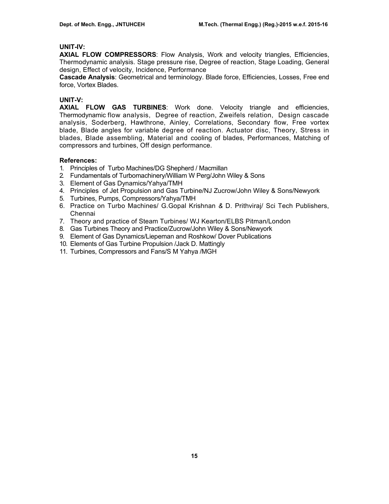### **UNIT-IV:**

**AXIAL FLOW COMPRESSORS**: Flow Analysis, Work and velocity triangles, Efficiencies, Thermodynamic analysis. Stage pressure rise, Degree of reaction, Stage Loading, General design, Effect of velocity, Incidence, Performance

**Cascade Analysis**: Geometrical and terminology. Blade force, Efficiencies, Losses, Free end force, Vortex Blades.

### **UNIT-V:**

**AXIAL FLOW GAS TURBINES**: Work done. Velocity triangle and efficiencies, Thermodynamic flow analysis, Degree of reaction, Zweifels relation, Design cascade analysis, Soderberg, Hawthrone, Ainley, Correlations, Secondary flow, Free vortex blade, Blade angles for variable degree of reaction. Actuator disc, Theory, Stress in blades, Blade assembling, Material and cooling of blades, Performances, Matching of compressors and turbines, Off design performance.

### **References:**

- 1. Principles of Turbo Machines/DG Shepherd / Macmillan
- 2. Fundamentals of Turbomachinery/William W Perg/John Wiley & Sons
- 3. Element of Gas Dynamics/Yahya/TMH
- 4. Principles of Jet Propulsion and Gas Turbine/NJ Zucrow/John Wiley & Sons/Newyork
- 5. Turbines, Pumps, Compressors/Yahya/TMH
- 6. Practice on Turbo Machines/ G.Gopal Krishnan *&* D. Prithviraj/ Sci Tech Publishers, Chennai
- 7. Theory and practice of Steam Turbines/ WJ Kearton/ELBS Pitman/London
- 8. Gas Turbines Theory and Practice/Zucrow/John Wiley & Sons/Newyork
- 9. Element of Gas Dynamics/Liepeman and Roshkow/ Dover Publications
- 10. Elements of Gas Turbine Propulsion /Jack D. Mattingly
- 11. Turbines, Compressors and Fans/S M Yahya /MGH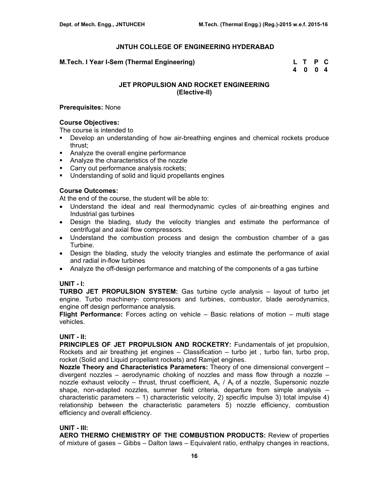### **M.Tech. I Year I-Sem (Thermal Engineering)**

| M.Tech. I Year I-Sem (Thermal Engineering) | L T P C |  |
|--------------------------------------------|---------|--|
|                                            | 4004    |  |

# **JET PROPULSION AND ROCKET ENGINEERING (Elective-II)**

### **Prerequisites:** None

### **Course Objectives:**

The course is intended to

- Develop an understanding of how air-breathing engines and chemical rockets produce thrust;
- Analyze the overall engine performance
- **Analyze the characteristics of the nozzle**
- **Carry out performance analysis rockets;**
- Understanding of solid and liquid propellants engines

### **Course Outcomes:**

At the end of the course, the student will be able to:

- Understand the ideal and real thermodynamic cycles of air-breathing engines and Industrial gas turbines
- Design the blading, study the velocity triangles and estimate the performance of centrifugal and axial flow compressors.
- Understand the combustion process and design the combustion chamber of a gas Turbine.
- Design the blading, study the velocity triangles and estimate the performance of axial and radial in-flow turbines
- Analyze the off-design performance and matching of the components of a gas turbine

#### **UNIT - I:**

**TURBO JET PROPULSION SYSTEM:** Gas turbine cycle analysis – layout of turbo jet engine. Turbo machinery- compressors and turbines, combustor, blade aerodynamics, engine off design performance analysis.

**Flight Performance:** Forces acting on vehicle – Basic relations of motion – multi stage vehicles.

### **UNIT - II:**

**PRINCIPLES OF JET PROPULSION AND ROCKETRY:** Fundamentals of jet propulsion, Rockets and air breathing jet engines – Classification – turbo jet , turbo fan, turbo prop, rocket (Solid and Liquid propellant rockets) and Ramjet engines.

**Nozzle Theory and Characteristics Parameters:** Theory of one dimensional convergent – divergent nozzles – aerodynamic choking of nozzles and mass flow through a nozzle – nozzle exhaust velocity – thrust, thrust coefficient,  $A_c / A_t$  of a nozzle, Supersonic nozzle shape, non-adapted nozzles, summer field criteria, departure from simple analysis – characteristic parameters – 1) characteristic velocity, 2) specific impulse 3) total impulse 4) relationship between the characteristic parameters 5) nozzle efficiency, combustion efficiency and overall efficiency.

#### **UNIT - III:**

**AERO THERMO CHEMISTRY OF THE COMBUSTION PRODUCTS:** Review of properties of mixture of gases – Gibbs – Dalton laws – Equivalent ratio, enthalpy changes in reactions,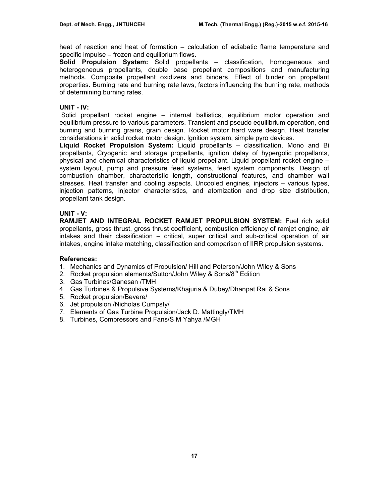heat of reaction and heat of formation – calculation of adiabatic flame temperature and specific impulse – frozen and equilibrium flows.

**Solid Propulsion System:** Solid propellants – classification, homogeneous and heterogeneous propellants, double base propellant compositions and manufacturing methods. Composite propellant oxidizers and binders. Effect of binder on propellant properties. Burning rate and burning rate laws, factors influencing the burning rate, methods of determining burning rates.

## **UNIT - IV:**

 Solid propellant rocket engine – internal ballistics, equilibrium motor operation and equilibrium pressure to various parameters. Transient and pseudo equilibrium operation, end burning and burning grains, grain design. Rocket motor hard ware design. Heat transfer considerations in solid rocket motor design. Ignition system, simple pyro devices.

**Liquid Rocket Propulsion System:** Liquid propellants – classification, Mono and Bi propellants, Cryogenic and storage propellants, ignition delay of hypergolic propellants, physical and chemical characteristics of liquid propellant. Liquid propellant rocket engine – system layout, pump and pressure feed systems, feed system components. Design of combustion chamber, characteristic length, constructional features, and chamber wall stresses. Heat transfer and cooling aspects. Uncooled engines, injectors – various types, injection patterns, injector characteristics, and atomization and drop size distribution, propellant tank design.

# **UNIT - V:**

**RAMJET AND INTEGRAL ROCKET RAMJET PROPULSION SYSTEM:** Fuel rich solid propellants, gross thrust, gross thrust coefficient, combustion efficiency of ramjet engine, air intakes and their classification – critical, super critical and sub-critical operation of air intakes, engine intake matching, classification and comparison of IIRR propulsion systems.

## **References:**

- 1. Mechanics and Dynamics of Propulsion/ Hill and Peterson/John Wiley & Sons
- 2. Rocket propulsion elements/Sutton/John Wiley & Sons/8<sup>th</sup> Edition
- 3. Gas Turbines/Ganesan /TMH
- 4. Gas Turbines & Propulsive Systems/Khajuria & Dubey/Dhanpat Rai & Sons
- 5. Rocket propulsion/Bevere/
- 6. Jet propulsion /Nicholas Cumpsty/
- 7. Elements of Gas Turbine Propulsion/Jack D. Mattingly/TMH
- 8. Turbines, Compressors and Fans/S M Yahya /MGH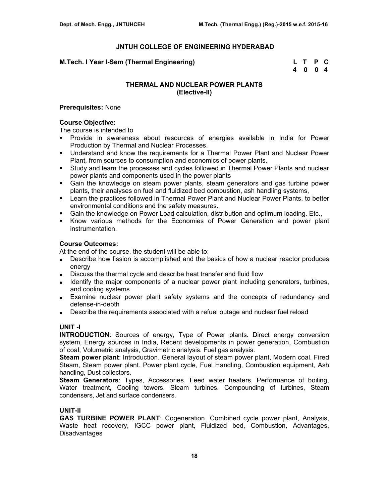### **M.Tech. I Year I-Sem (Thermal Engineering) L T P C**

 **4 0 0 4** 

# **THERMAL AND NUCLEAR POWER PLANTS (Elective-II)**

### **Prerequisites:** None

### **Course Objective:**

The course is intended to

- Provide in awareness about resources of energies available in India for Power Production by Thermal and Nuclear Processes.
- Understand and know the requirements for a Thermal Power Plant and Nuclear Power Plant, from sources to consumption and economics of power plants.
- Study and learn the processes and cycles followed in Thermal Power Plants and nuclear power plants and components used in the power plants
- Gain the knowledge on steam power plants, steam generators and gas turbine power plants, their analyses on fuel and fluidized bed combustion, ash handling systems,
- **EXECT** Learn the practices followed in Thermal Power Plant and Nuclear Power Plants, to better environmental conditions and the safety measures.
- Gain the knowledge on Power Load calculation, distribution and optimum loading. Etc.,
- Know various methods for the Economies of Power Generation and power plant instrumentation.

### **Course Outcomes:**

At the end of the course, the student will be able to:

- Describe how fission is accomplished and the basics of how a nuclear reactor produces energy
- Discuss the thermal cycle and describe heat transfer and fluid flow
- Identify the major components of a nuclear power plant including generators, turbines, and cooling systems
- Examine nuclear power plant safety systems and the concepts of redundancy and defense-in-depth
- Describe the requirements associated with a refuel outage and nuclear fuel reload

### **UNIT -I**

**INTRODUCTION**: Sources of energy, Type of Power plants. Direct energy conversion system, Energy sources in India, Recent developments in power generation, Combustion of coal, Volumetric analysis, Gravimetric analysis. Fuel gas analysis.

**Steam power plant**: Introduction. General layout of steam power plant, Modern coal. Fired Steam, Steam power plant. Power plant cycle, Fuel Handling, Combustion equipment, Ash handling, Dust collectors.

**Steam Generators**: Types, Accessories. Feed water heaters, Performance of boiling, Water treatment, Cooling towers. Steam turbines. Compounding of turbines, Steam condensers, Jet and surface condensers.

## **UNIT-II**

**GAS TURBINE POWER PLANT**: Cogeneration. Combined cycle power plant, Analysis, Waste heat recovery, IGCC power plant, Fluidized bed, Combustion, Advantages, **Disadvantages**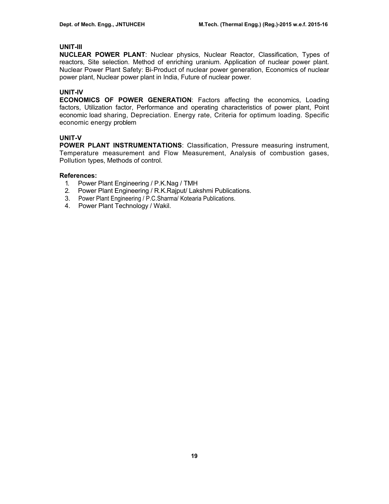## **UNIT-III**

**NUCLEAR POWER PLANT**: Nuclear physics, Nuclear Reactor, Classification, Types of reactors, Site selection. Method of enriching uranium. Application of nuclear power plant. Nuclear Power Plant Safety: Bi-Product of nuclear power generation, Economics of nuclear power plant, Nuclear power plant in India, Future of nuclear power.

## **UNIT-IV**

**ECONOMICS OF POWER GENERATION**: Factors affecting the economics, Loading factors, Utilization factor, Performance and operating characteristics of power plant, Point economic load sharing, Depreciation. Energy rate, Criteria for optimum loading. Specific economic energy problem

# **UNIT-V**

**POWER PLANT INSTRUMENTATIONS**: Classification, Pressure measuring instrument, Temperature measurement and Flow Measurement, Analysis of combustion gases, Pollution types, Methods of control.

## **References:**

- 1. Power Plant Engineering / P.K.Nag / TMH
- 2. Power Plant Engineering / R.K.Rajput/ Lakshmi Publications.
- 3. Power Plant Engineering / P.C.Sharma/ Kotearia Publications.
- 4. Power Plant Technology / Wakil.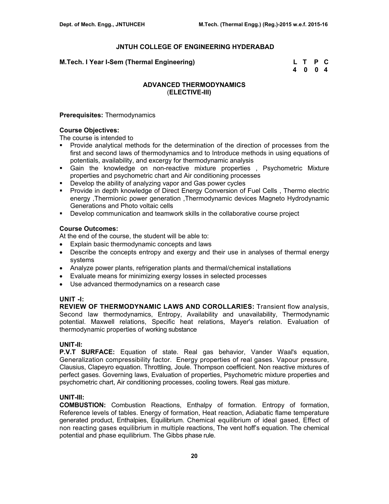### **M.Tech. I Year I-Sem (Thermal Engineering)**

| M.Tech. I Year I-Sem (Thermal Engineering) | L T P C |  |
|--------------------------------------------|---------|--|
|                                            | 4 0 0 4 |  |

## **ADVANCED THERMODYNAMICS**  (**ELECTIVE-III)**

### **Prerequisites:** Thermodynamics

## **Course Objectives:**

The course is intended to

- **Provide analytical methods for the determination of the direction of processes from the** first and second laws of thermodynamics and to Introduce methods in using equations of potentials, availability, and excergy for thermodynamic analysis
- Gain the knowledge on non-reactive mixture properties , Psychometric Mixture properties and psychometric chart and Air conditioning processes
- Develop the ability of analyzing vapor and Gas power cycles
- **Provide in depth knowledge of Direct Energy Conversion of Fuel Cells, Thermo electric** energy ,Thermionic power generation ,Thermodynamic devices Magneto Hydrodynamic Generations and Photo voltaic cells
- Develop communication and teamwork skills in the collaborative course project

## **Course Outcomes:**

At the end of the course, the student will be able to:

- Explain basic thermodynamic concepts and laws
- Describe the concepts entropy and exergy and their use in analyses of thermal energy systems
- Analyze power plants, refrigeration plants and thermal/chemical installations
- Evaluate means for minimizing exergy losses in selected processes
- Use advanced thermodynamics on a research case

## **UNIT -I:**

**REVIEW OF THERMODYNAMIC LAWS AND COROLLARIES:** Transient flow analysis, Second law thermodynamics, Entropy, Availability and unavailability, Thermodynamic potential. Maxwell relations, Specific heat relations, Mayer's relation. Evaluation of thermodynamic properties of working substance

### **UNIT-II:**

**P.V.T SURFACE:** Equation of state. Real gas behavior, Vander Waal's equation, Generalization compressibility factor. Energy properties of real gases. Vapour pressure, Clausius, Clapeyro equation. Throttling, Joule. Thompson coefficient. Non reactive mixtures of perfect gases. Governing laws, Evaluation of properties, Psychometric mixture properties and psychometric chart, Air conditioning processes, cooling towers. Real gas mixture.

## **UNIT-III:**

**COMBUSTION:** Combustion Reactions, Enthalpy of formation. Entropy of formation, Reference levels of tables. Energy of formation, Heat reaction, Adiabatic flame temperature generated product, Enthalpies, Equilibrium. Chemical equilibrium of ideal gased, Effect of non reacting gases equilibrium in multiple reactions, The vent hoff's equation. The chemical potential and phase equilibrium. The Gibbs phase rule.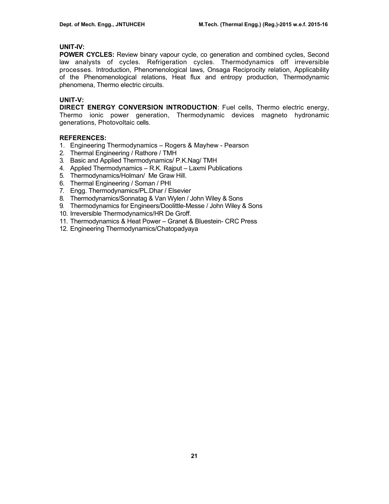## **UNIT-IV:**

**POWER CYCLES:** Review binary vapour cycle, co generation and combined cycles, Second law analysts of cycles. Refrigeration cycles. Thermodynamics off irreversible processes. Introduction, Phenomenological laws, Onsaga Reciprocity relation, Applicability of the Phenomenological relations, Heat flux and entropy production, Thermodynamic phenomena, Thermo electric circuits.

# **UNIT-V:**

**DIRECT ENERGY CONVERSION INTRODUCTION**: Fuel cells, Thermo electric energy, Thermo ionic power generation, Thermodynamic devices magneto hydronamic generations, Photovoltaic cells.

# **REFERENCES:**

- 1. Engineering Thermodynamics Rogers & Mayhew Pearson
- 2. Thermal Engineering / Rathore / TMH
- 3. Basic and Applied Thermodynamics/ P.K.Nag/ TMH
- 4. Applied Thermodynamics R.K. Rajput Laxmi Publications
- 5. Thermodynamics/Holman/ Me Graw Hill.
- 6. Thermal Engineering / Soman / PHI
- 7. Engg. Thermodynamics/PL.Dhar / Elsevier
- 8. Thermodynamics/Sonnatag & Van Wylen / John Wiley & Sons
- 9. Thermodynamics for Engineers/Doolittle-Messe / John Wiley & Sons
- 10. Irreversible Thermodynamics/HR De Groff.
- 11. Thermodynamics & Heat Power Granet & Bluestein- CRC Press
- 12. Engineering Thermodynamics/Chatopadyaya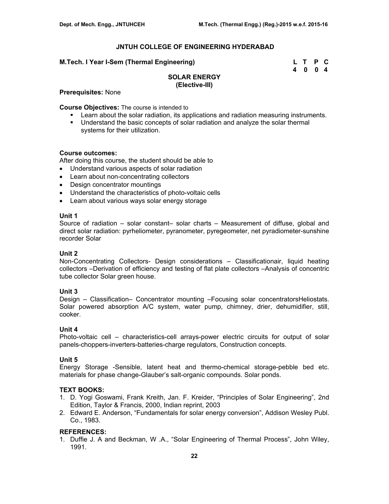### **M.Tech. I Year I-Sem (Thermal Engineering)**

| M.Tech. I Year I-Sem (Thermal Engineering) | L T P C |  |
|--------------------------------------------|---------|--|
|                                            | 4 0 0 4 |  |

# **SOLAR ENERGY (Elective-III)**

**Prerequisites:** None

**Course Objectives:** The course is intended to

- Learn about the solar radiation, its applications and radiation measuring instruments.
- Understand the basic concepts of solar radiation and analyze the solar thermal systems for their utilization.

### **Course outcomes:**

After doing this course, the student should be able to

- Understand various aspects of solar radiation
- Learn about non-concentrating collectors
- Design concentrator mountings
- Understand the characteristics of photo-voltaic cells
- Learn about various ways solar energy storage

## **Unit 1**

Source of radiation – solar constant– solar charts – Measurement of diffuse, global and direct solar radiation: pyrheliometer, pyranometer, pyregeometer, net pyradiometer-sunshine recorder Solar

## **Unit 2**

Non-Concentrating Collectors- Design considerations – Classificationair, liquid heating collectors –Derivation of efficiency and testing of flat plate collectors –Analysis of concentric tube collector Solar green house.

## **Unit 3**

Design – Classification– Concentrator mounting –Focusing solar concentratorsHeliostats. Solar powered absorption A/C system, water pump, chimney, drier, dehumidifier, still, cooker.

## **Unit 4**

Photo-voltaic cell – characteristics-cell arrays-power electric circuits for output of solar panels-choppers-inverters-batteries-charge regulators, Construction concepts.

## **Unit 5**

Energy Storage -Sensible, latent heat and thermo-chemical storage-pebble bed etc. materials for phase change-Glauber's salt-organic compounds. Solar ponds.

## **TEXT BOOKS:**

- 1. D. Yogi Goswami, Frank Kreith, Jan. F. Kreider, "Principles of Solar Engineering", 2nd Edition, Taylor & Francis, 2000, Indian reprint, 2003
- 2. Edward E. Anderson, "Fundamentals for solar energy conversion", Addison Wesley Publ. Co., 1983.

## **REFERENCES:**

1. Duffie J. A and Beckman, W .A., "Solar Engineering of Thermal Process", John Wiley, 1991.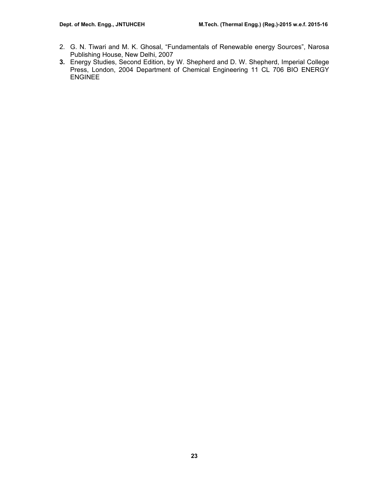- 2. G. N. Tiwari and M. K. Ghosal, "Fundamentals of Renewable energy Sources", Narosa Publishing House, New Delhi, 2007
- **3.** Energy Studies, Second Edition, by W. Shepherd and D. W. Shepherd, Imperial College Press, London, 2004 Department of Chemical Engineering 11 CL 706 BIO ENERGY ENGINEE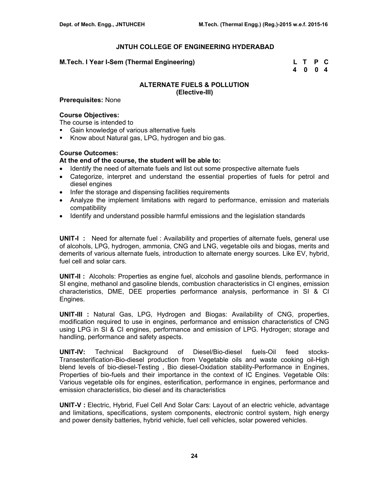### **M.Tech. I Year I-Sem (Thermal Engineering) L T P C**

 **4 0 0 4** 

### **ALTERNATE FUELS & POLLUTION (Elective-III)**

**Prerequisites:** None

## **Course Objectives:**

The course is intended to

- Gain knowledge of various alternative fuels
- Know about Natural gas, LPG, hydrogen and bio gas.

### **Course Outcomes:**

### **At the end of the course, the student will be able to:**

- Identify the need of alternate fuels and list out some prospective alternate fuels
- Categorize, interpret and understand the essential properties of fuels for petrol and diesel engines
- Infer the storage and dispensing facilities requirements
- Analyze the implement limitations with regard to performance, emission and materials compatibility
- Identify and understand possible harmful emissions and the legislation standards

**UNIT-I :** Need for alternate fuel : Availability and properties of alternate fuels, general use of alcohols, LPG, hydrogen, ammonia, CNG and LNG, vegetable oils and biogas, merits and demerits of various alternate fuels, introduction to alternate energy sources. Like EV, hybrid, fuel cell and solar cars.

**UNIT-II :** Alcohols: Properties as engine fuel, alcohols and gasoline blends, performance in SI engine, methanol and gasoline blends, combustion characteristics in CI engines, emission characteristics, DME, DEE properties performance analysis, performance in SI & CI Engines.

**UNIT-III :** Natural Gas, LPG, Hydrogen and Biogas: Availability of CNG, properties, modification required to use in engines, performance and emission characteristics of CNG using LPG in SI & CI engines, performance and emission of LPG. Hydrogen; storage and handling, performance and safety aspects.

**UNIT-IV:** Technical Background of Diesel/Bio-diesel fuels-Oil feed stocks-Transesterification-Bio-diesel production from Vegetable oils and waste cooking oil-High blend levels of bio-diesel-Testing , Bio diesel-Oxidation stability-Performance in Engines, Properties of bio-fuels and their importance in the context of IC Engines. Vegetable Oils: Various vegetable oils for engines, esterification, performance in engines, performance and emission characteristics, bio diesel and its characteristics

**UNIT-V :** Electric, Hybrid, Fuel Cell And Solar Cars: Layout of an electric vehicle, advantage and limitations, specifications, system components, electronic control system, high energy and power density batteries, hybrid vehicle, fuel cell vehicles, solar powered vehicles.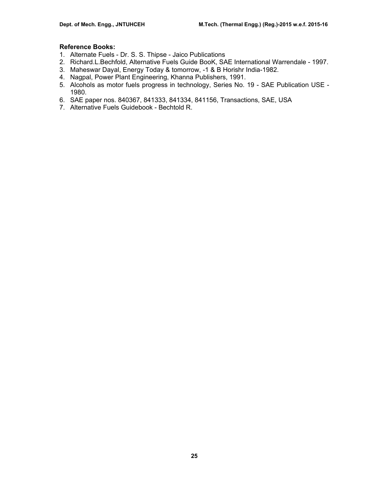## **Reference Books:**

- 1. Alternate Fuels Dr. S. S. Thipse Jaico Publications
- 2. Richard.L.Bechfold, Alternative Fuels Guide BooK, SAE International Warrendale 1997.
- 3. Maheswar Dayal, Energy Today & tomorrow, -1 & B Horishr India-1982.
- 4. Nagpal, Power Plant Engineering, Khanna Publishers, 1991.
- 5. Alcohols as motor fuels progress in technology, Series No. 19 SAE Publication USE 1980.
- 6. SAE paper nos. 840367, 841333, 841334, 841156, Transactions, SAE, USA
- 7. Alternative Fuels Guidebook Bechtold R.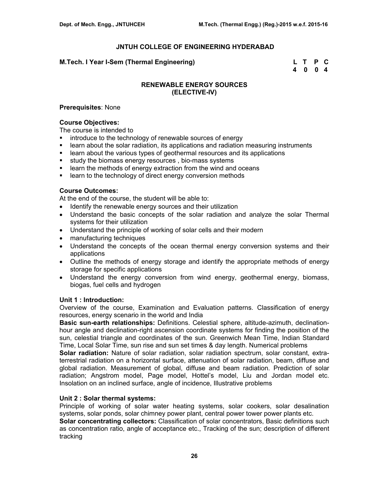### **M.Tech. I Year I-Sem (Thermal Engineering) L T P C**

 **4 0 0 4** 

## **RENEWABLE ENERGY SOURCES (ELECTIVE-IV)**

#### **Prerequisites**: None

#### **Course Objectives:**

The course is intended to

- **EXECUTE:** introduce to the technology of renewable sources of energy
- **EXECT** 1.1 Is a learn about the solar radiation, its applications and radiation measuring instruments
- learn about the various types of geothermal resources and its applications
- **study the biomass energy resources**, bio-mass systems
- learn the methods of energy extraction from the wind and oceans
- **EXECUTE:** learn to the technology of direct energy conversion methods

#### **Course Outcomes:**

At the end of the course, the student will be able to:

- Identify the renewable energy sources and their utilization
- Understand the basic concepts of the solar radiation and analyze the solar Thermal systems for their utilization
- Understand the principle of working of solar cells and their modern
- manufacturing techniques
- Understand the concepts of the ocean thermal energy conversion systems and their applications
- Outline the methods of energy storage and identify the appropriate methods of energy storage for specific applications
- Understand the energy conversion from wind energy, geothermal energy, biomass, biogas, fuel cells and hydrogen

### **Unit 1 : Introduction:**

Overview of the course, Examination and Evaluation patterns. Classification of energy resources, energy scenario in the world and India

**Basic sun-earth relationships:** Definitions. Celestial sphere, altitude-azimuth, declinationhour angle and declination-right ascension coordinate systems for finding the position of the sun, celestial triangle and coordinates of the sun. Greenwich Mean Time, Indian Standard Time, Local Solar Time, sun rise and sun set times & day length. Numerical problems

**Solar radiation:** Nature of solar radiation, solar radiation spectrum, solar constant, extraterrestrial radiation on a horizontal surface, attenuation of solar radiation, beam, diffuse and global radiation. Measurement of global, diffuse and beam radiation. Prediction of solar radiation; Angstrom model, Page model, Hottel's model, Liu and Jordan model etc. Insolation on an inclined surface, angle of incidence, Illustrative problems

### **Unit 2 : Solar thermal systems:**

Principle of working of solar water heating systems, solar cookers, solar desalination systems, solar ponds, solar chimney power plant, central power tower power plants etc.

**Solar concentrating collectors:** Classification of solar concentrators, Basic definitions such as concentration ratio, angle of acceptance etc., Tracking of the sun; description of different tracking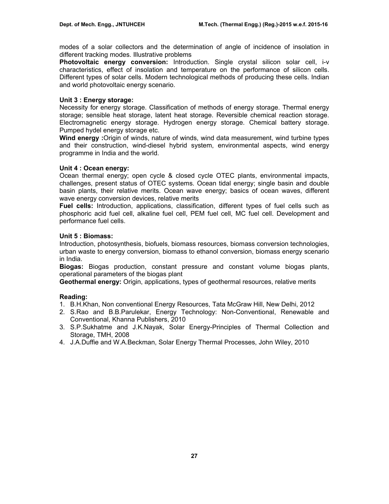modes of a solar collectors and the determination of angle of incidence of insolation in different tracking modes. Illustrative problems

**Photovoltaic energy conversion:** Introduction. Single crystal silicon solar cell, i-v characteristics, effect of insolation and temperature on the performance of silicon cells. Different types of solar cells. Modern technological methods of producing these cells. Indian and world photovoltaic energy scenario.

## **Unit 3 : Energy storage:**

Necessity for energy storage. Classification of methods of energy storage. Thermal energy storage; sensible heat storage, latent heat storage. Reversible chemical reaction storage. Electromagnetic energy storage. Hydrogen energy storage. Chemical battery storage. Pumped hydel energy storage etc.

**Wind energy :**Origin of winds, nature of winds, wind data measurement, wind turbine types and their construction, wind-diesel hybrid system, environmental aspects, wind energy programme in India and the world.

## **Unit 4 : Ocean energy:**

Ocean thermal energy; open cycle & closed cycle OTEC plants, environmental impacts, challenges, present status of OTEC systems. Ocean tidal energy; single basin and double basin plants, their relative merits. Ocean wave energy; basics of ocean waves, different wave energy conversion devices, relative merits

**Fuel cells:** Introduction, applications, classification, different types of fuel cells such as phosphoric acid fuel cell, alkaline fuel cell, PEM fuel cell, MC fuel cell. Development and performance fuel cells.

## **Unit 5 : Biomass:**

Introduction, photosynthesis, biofuels, biomass resources, biomass conversion technologies, urban waste to energy conversion, biomass to ethanol conversion, biomass energy scenario in India.

**Biogas:** Biogas production, constant pressure and constant volume biogas plants, operational parameters of the biogas plant

**Geothermal energy:** Origin, applications, types of geothermal resources, relative merits

## **Reading:**

- 1. B.H.Khan, Non conventional Energy Resources, Tata McGraw Hill, New Delhi, 2012
- 2. S.Rao and B.B.Parulekar, Energy Technology: Non-Conventional, Renewable and Conventional, Khanna Publishers, 2010
- 3. S.P.Sukhatme and J.K.Nayak, Solar Energy-Principles of Thermal Collection and Storage, TMH, 2008
- 4. J.A.Duffie and W.A.Beckman, Solar Energy Thermal Processes, John Wiley, 2010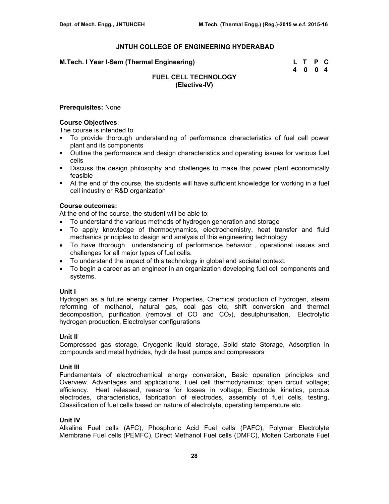| M.Tech. I Year I-Sem (Thermal Engineering) | L T P C |  |
|--------------------------------------------|---------|--|
|                                            | 4004    |  |

# **FUEL CELL TECHNOLOGY (Elective-IV)**

#### **Prerequisites:** None

### **Course Objectives**:

The course is intended to

- To provide thorough understanding of performance characteristics of fuel cell power plant and its components
- Outline the performance and design characteristics and operating issues for various fuel cells
- Discuss the design philosophy and challenges to make this power plant economically feasible
- At the end of the course, the students will have sufficient knowledge for working in a fuel cell industry or R&D organization

### **Course outcomes:**

At the end of the course, the student will be able to:

- To understand the various methods of hydrogen generation and storage
- To apply knowledge of thermodynamics, electrochemistry, heat transfer and fluid mechanics principles to design and analysis of this engineering technology.
- To have thorough understanding of performance behavior , operational issues and challenges for all major types of fuel cells.
- To understand the impact of this technology in global and societal context.
- To begin a career as an engineer in an organization developing fuel cell components and systems.

## **Unit I**

Hydrogen as a future energy carrier, Properties, Chemical production of hydrogen, steam reforming of methanol, natural gas, coal gas etc, shift conversion and thermal decomposition, purification (removal of CO and  $CO<sub>2</sub>$ ), desulphurisation, Electrolytic hydrogen production, Electrolyser configurations

### **Unit II**

Compressed gas storage, Cryogenic liquid storage, Solid state Storage, Adsorption in compounds and metal hydrides, hydride heat pumps and compressors

# **Unit III**

Fundamentals of electrochemical energy conversion, Basic operation principles and Overview. Advantages and applications, Fuel cell thermodynamics; open circuit voltage; efficiency. Heat released, reasons for losses in voltage, Electrode kinetics, porous electrodes, characteristics, fabrication of electrodes, assembly of fuel cells, testing, Classification of fuel cells based on nature of electrolyte, operating temperature etc.

## **Unit IV**

Alkaline Fuel cells (AFC), Phosphoric Acid Fuel cells (PAFC), Polymer Electrolyte Membrane Fuel cells (PEMFC), Direct Methanol Fuel cells (DMFC), Molten Carbonate Fuel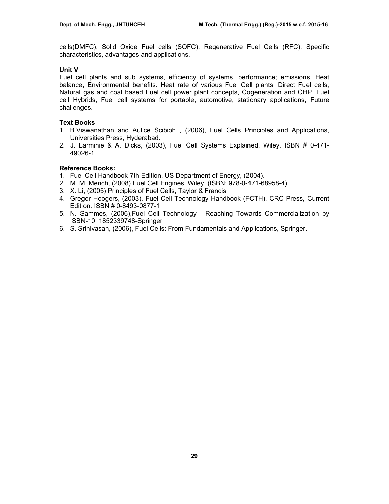cells(DMFC), Solid Oxide Fuel cells (SOFC), Regenerative Fuel Cells (RFC), Specific characteristics, advantages and applications.

## **Unit V**

Fuel cell plants and sub systems, efficiency of systems, performance; emissions, Heat balance, Environmental benefits. Heat rate of various Fuel Cell plants, Direct Fuel cells, Natural gas and coal based Fuel cell power plant concepts, Cogeneration and CHP, Fuel cell Hybrids, Fuel cell systems for portable, automotive, stationary applications, Future challenges.

# **Text Books**

- 1. B.Viswanathan and Aulice Scibioh , (2006), Fuel Cells Principles and Applications, Universities Press, Hyderabad.
- 2. J. Larminie & A. Dicks, (2003), Fuel Cell Systems Explained, Wiley, ISBN # 0-471- 49026-1

# **Reference Books:**

- 1. Fuel Cell Handbook-7th Edition, US Department of Energy, (2004).
- 2. M. M. Mench, (2008) Fuel Cell Engines, Wiley, (ISBN: 978-0-471-68958-4)
- 3. X. Li, (2005) Principles of Fuel Cells, Taylor & Francis.
- 4. Gregor Hoogers, (2003), Fuel Cell Technology Handbook (FCTH), CRC Press, Current Edition. ISBN # 0-8493-0877-1
- 5. N. Sammes, (2006),Fuel Cell Technology Reaching Towards Commercialization by ISBN-10: 1852339748-Springer
- 6. S. Srinivasan, (2006), Fuel Cells: From Fundamentals and Applications, Springer.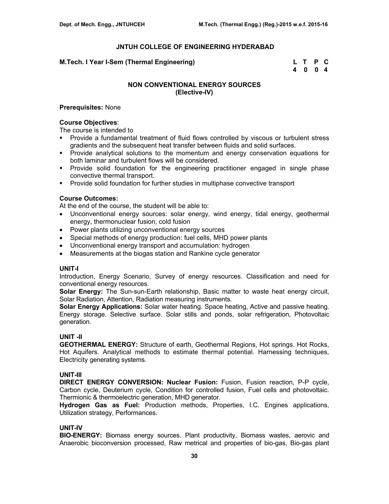### **M.Tech. I Year I-Sem (Thermal Engineering) L T P C**

 **4 0 0 4** 

# **NON CONVENTIONAL ENERGY SOURCES (Elective-IV)**

### **Prerequisites:** None

### **Course Objectives**:

The course is intended to

- Provide a fundamental treatment of fluid flows controlled by viscous or turbulent stress gradients and the subsequent heat transfer between fluids and solid surfaces.
- Provide analytical solutions to the momentum and energy conservation equations for both laminar and turbulent flows will be considered.
- Provide solid foundation for the engineering practitioner engaged in single phase convective thermal transport.
- Provide solid foundation for further studies in multiphase convective transport

## **Course Outcomes:**

At the end of the course, the student will be able to:

- Unconventional energy sources: solar energy, wind energy, tidal energy, geothermal energy, thermonuclear fusion, cold fusion
- Power plants utilizing unconventional energy sources
- Special methods of energy production: fuel cells, MHD power plants
- Unconventional energy transport and accumulation: hydrogen
- Measurements at the biogas station and Rankine cycle generator

#### **UNIT-I**

Introduction, Energy Scenario, Survey of energy resources. Classification and need for conventional energy resources.

**Solar Energy:** The Sun-sun-Earth relationship, Basic matter to waste heat energy circuit, Solar Radiation, Attention, Radiation measuring instruments.

**Solar Energy Applications:** Solar water heating. Space heating, Active and passive heating. Energy storage. Selective surface. Solar stills and ponds, solar refrigeration, Photovoltaic generation.

## **UNIT -II**

**GEOTHERMAL ENERGY:** Structure of earth, Geothermal Regions, Hot springs. Hot Rocks, Hot Aquifers. Analytical methods to estimate thermal potential. Harnessing techniques, Electricity generating systems.

### **UNIT-III**

**DIRECT ENERGY CONVERSION: Nuclear Fusion:** Fusion, Fusion reaction, P-P cycle, Carbon cycle, Deuterium cycle, Condition for controlled fusion, Fuel cells and photovoltaic. Thermionic & thermoelectric generation, MHD generator.

**Hydrogen Gas as Fuel:** Production methods, Properties, I.C. Engines applications, Utilization strategy, Performances.

### **UNIT-IV**

**BIO-ENERGY:** Biomass energy sources. Plant productivity, Biomass wastes, aerovic and Anaerobic bioconversion processed, Raw metrical and properties of bio-gas, Bio-gas plant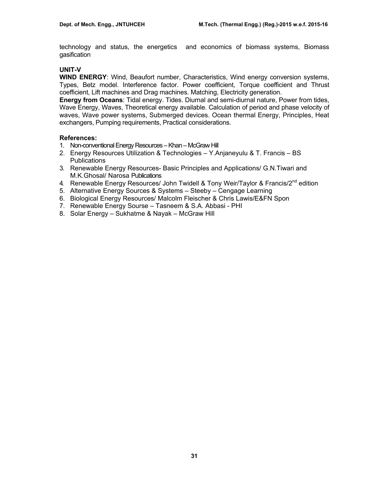technology and status, the energetics and economics of biomass systems, Biomass gasification

## **UNIT-V**

**WIND ENERGY**: Wind, Beaufort number, Characteristics, Wind energy conversion systems, Types, Betz model. Interference factor. Power coefficient, Torque coefficient and Thrust coefficient, Lift machines and Drag machines. Matching, Electricity generation.

**Energy from Oceans**: Tidal energy. Tides. Diurnal and semi-diurnal nature, Power from tides, Wave Energy, Waves, Theoretical energy available. Calculation of period and phase velocity of waves, Wave power systems, Submerged devices. Ocean thermal Energy, Principles, Heat exchangers, Pumping requirements, Practical considerations.

### **References:**

- 1. Non-conventional Energy Resources Khan McGraw Hill
- 2. Energy Resources Utilization & Technologies Y.Anjaneyulu & T. Francis BS **Publications**
- 3. Renewable Energy Resources- Basic Principles and Applications/ G.N.Tiwari and M.K.Ghosal/ Narosa Publications
- 4. Renewable Energy Resources/ John Twidell & Tony Weir/Taylor & Francis/ $2^{nd}$  edition
- 5. Alternative Energy Sources & Systems Steeby Cengage Learning
- 6. Biological Energy Resources/ Malcolm Fleischer & Chris Lawis/E&FN Spon
- 7. Renewable Energy Sourse Tasneem & S.A. Abbasi PHI
- 8. Solar Energy Sukhatme & Nayak McGraw Hill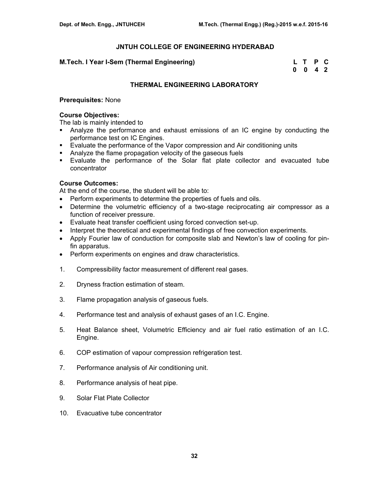### **M.Tech. I Year I-Sem (Thermal Engineering)**

| M.Tech. I Year I-Sem (Thermal Engineering) | L T P C |  |
|--------------------------------------------|---------|--|
|                                            | 0 0 4 2 |  |

### **THERMAL ENGINEERING LABORATORY**

### **Prerequisites:** None

# **Course Objectives:**

The lab is mainly intended to

- Analyze the performance and exhaust emissions of an IC engine by conducting the performance test on IC Engines.
- **Evaluate the performance of the Vapor compression and Air conditioning units**
- Analyze the flame propagation velocity of the gaseous fuels
- Evaluate the performance of the Solar flat plate collector and evacuated tube concentrator

## **Course Outcomes:**

At the end of the course, the student will be able to:

- Perform experiments to determine the properties of fuels and oils.
- Determine the volumetric efficiency of a two-stage reciprocating air compressor as a function of receiver pressure.
- Evaluate heat transfer coefficient using forced convection set-up.
- Interpret the theoretical and experimental findings of free convection experiments.
- Apply Fourier law of conduction for composite slab and Newton's law of cooling for pinfin apparatus.
- Perform experiments on engines and draw characteristics.
- 1. Compressibility factor measurement of different real gases.
- 2. Dryness fraction estimation of steam.
- 3. Flame propagation analysis of gaseous fuels.
- 4. Performance test and analysis of exhaust gases of an I.C. Engine.
- 5. Heat Balance sheet, Volumetric Efficiency and air fuel ratio estimation of an I.C. Engine.
- 6. COP estimation of vapour compression refrigeration test.
- 7. Performance analysis of Air conditioning unit.
- 8. Performance analysis of heat pipe.
- 9. Solar Flat Plate Collector
- 10. Evacuative tube concentrator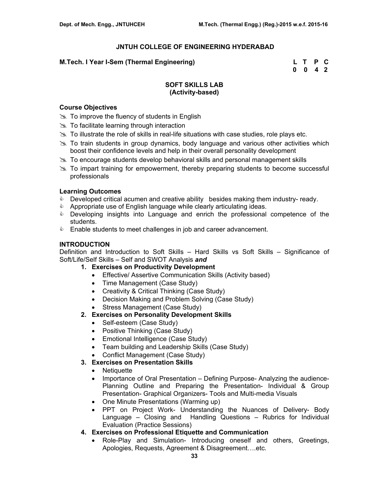### **M.Tech. I Year I-Sem (Thermal Engineering) L T P C**

 **0 0 4 2** 

## **SOFT SKILLS LAB (Activity-based)**

### **Course Objectives**

- $\gg$  To improve the fluency of students in English
- $\gg$  To facilitate learning through interaction
- $\gg$  To illustrate the role of skills in real-life situations with case studies, role plays etc.
- $\geq$  To train students in group dynamics, body language and various other activities which boost their confidence levels and help in their overall personality development
- **EX** To encourage students develop behavioral skills and personal management skills
- $\gg$  To impart training for empowerment, thereby preparing students to become successful professionals

#### **Learning Outcomes**

- **Developed critical acumen and creative ability besides making them industry- ready.**
- **&** Appropriate use of English language while clearly articulating ideas.
- **EXE** Developing insights into Language and enrich the professional competence of the students.
- **Enable students to meet challenges in job and career advancement.**

### **INTRODUCTION**

Definition and Introduction to Soft Skills – Hard Skills vs Soft Skills – Significance of Soft/Life/Self Skills – Self and SWOT Analysis *and*

- **1. Exercises on Productivity Development** 
	- Effective/ Assertive Communication Skills (Activity based)
	- Time Management (Case Study)
	- Creativity & Critical Thinking (Case Study)
	- Decision Making and Problem Solving (Case Study)
	- Stress Management (Case Study)
- **2. Exercises on Personality Development Skills** 
	- Self-esteem (Case Study)
	- Positive Thinking (Case Study)
	- Emotional Intelligence (Case Study)
	- Team building and Leadership Skills (Case Study)
	- Conflict Management (Case Study)
- **3. Exercises on Presentation Skills** 
	- Netiquette
	- Importance of Oral Presentation Defining Purpose- Analyzing the audience-Planning Outline and Preparing the Presentation- Individual & Group Presentation- Graphical Organizers- Tools and Multi-media Visuals
	- One Minute Presentations (Warming up)
	- PPT on Project Work- Understanding the Nuances of Delivery- Body Language – Closing and Handling Questions – Rubrics for Individual Evaluation (Practice Sessions)
- **4. Exercises on Professional Etiquette and Communication** 
	- Role-Play and Simulation- Introducing oneself and others, Greetings, Apologies, Requests, Agreement & Disagreement….etc.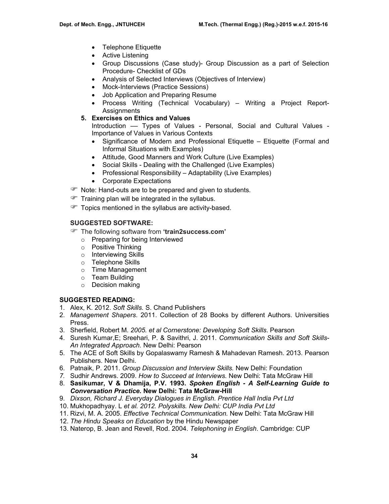- Telephone Etiquette
- Active Listening
- Group Discussions (Case study)- Group Discussion as a part of Selection Procedure- Checklist of GDs
- Analysis of Selected Interviews (Objectives of Interview)
- Mock-Interviews (Practice Sessions)
- Job Application and Preparing Resume
- Process Writing (Technical Vocabulary) Writing a Project Report-Assignments
- **5. Exercises on Ethics and Values**

Introduction –– Types of Values - Personal, Social and Cultural Values - Importance of Values in Various Contexts

- Significance of Modern and Professional Etiquette Etiquette (Formal and Informal Situations with Examples)
- Attitude, Good Manners and Work Culture (Live Examples)
- Social Skills Dealing with the Challenged (Live Examples)
- Professional Responsibility Adaptability (Live Examples)
- Corporate Expectations
- The Note: Hand-outs are to be prepared and given to students.
- $\mathcal{F}$  Training plan will be integrated in the syllabus.
- Topics mentioned in the syllabus are activity-based.

# **SUGGESTED SOFTWARE:**

- ) The following software from **'train2success.com'** 
	- o Preparing for being Interviewed
	- o Positive Thinking
	- o Interviewing Skills
	- o Telephone Skills
	- o Time Management
	- o Team Building
	- o Decision making

# **SUGGESTED READING:**

- 1. Alex, K. 2012. *Soft Skills.* S. Chand Publishers
- 2. *Management Shapers*. 2011. Collection of 28 Books by different Authors. Universities Press.
- 3. Sherfield, Robert M. *2005. et al Cornerstone: Developing Soft Skills*. Pearson
- 4. Suresh Kumar,E; Sreehari, P. & Savithri, J. 2011. *Communication Skills and Soft Skills-An Integrated Approach.* New Delhi: Pearson
- 5. The ACE of Soft Skills by Gopalaswamy Ramesh & Mahadevan Ramesh. 2013. Pearson Publishers. New Delhi.
- 6. Patnaik, P. 2011. *Group Discussion and Interview Skills.* New Delhi: Foundation
- *7.* Sudhir Andrews. 2009. *How to Succeed at Interviews.* New Delhi: Tata McGraw Hill
- 8. **Sasikumar, V & Dhamija, P.V. 1993.** *Spoken English A Self-Learning Guide to Conversation Practice.* **New Delhi: Tata McGraw-Hill**
- 9. *Dixson, Richard J. Everyday Dialogues in English. Prentice Hall India Pvt Ltd*
- 10. Mukhopadhyay. L *et al. 2012. Polyskills. New Delhi: CUP India Pvt Ltd*
- 11. Rizvi, M. A. 2005. *Effective Technical Communication.* New Delhi: Tata McGraw Hill
- 12. *The Hindu Speaks on Education* by the Hindu Newspaper
- 13. Naterop, B. Jean and Revell, Rod. 2004. *Telephoning in English*. Cambridge: CUP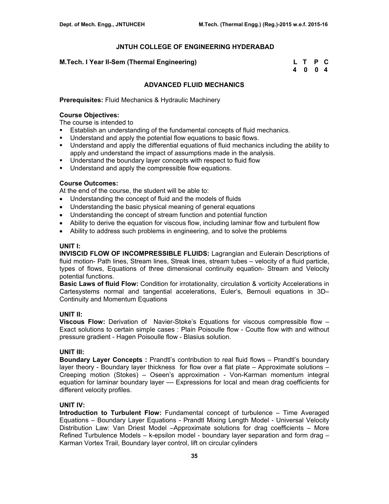### **M.Tech. I Year II-Sem (Thermal Engineering)**

| M.Tech. I Year II-Sem (Thermal Engineering) | L T P C |  |
|---------------------------------------------|---------|--|
|                                             | 4004    |  |

## **ADVANCED FLUID MECHANICS**

**Prerequisites:** Fluid Mechanics & Hydraulic Machinery

### **Course Objectives:**

The course is intended to

- Establish an understanding of the fundamental concepts of fluid mechanics.
- **Understand and apply the potential flow equations to basic flows.**
- Understand and apply the differential equations of fluid mechanics including the ability to apply and understand the impact of assumptions made in the analysis.
- **Understand the boundary layer concepts with respect to fluid flow**
- **Understand and apply the compressible flow equations.**

### **Course Outcomes:**

At the end of the course, the student will be able to:

- Understanding the concept of fluid and the models of fluids
- Understanding the basic physical meaning of general equations
- Understanding the concept of stream function and potential function
- Ability to derive the equation for viscous flow, including laminar flow and turbulent flow
- Ability to address such problems in engineering, and to solve the problems

#### **UNIT I:**

**INVISCID FLOW OF INCOMPRESSIBLE FLUIDS:** Lagrangian and Eulerain Descriptions of fluid motion- Path lines, Stream lines, Streak lines, stream tubes – velocity of a fluid particle, types of flows, Equations of three dimensional continuity equation- Stream and Velocity potential functions.

**Basic Laws of fluid Flow:** Condition for irrotationality, circulation & vorticity Accelerations in Cartesystems normal and tangential accelerations, Euler's, Bernouli equations in 3D– Continuity and Momentum Equations

#### **UNIT II:**

**Viscous Flow:** Derivation of Navier-Stoke's Equations for viscous compressible flow – Exact solutions to certain simple cases : Plain Poisoulle flow - Coutte flow with and without pressure gradient - Hagen Poisoulle flow - Blasius solution.

### **UNIT III:**

**Boundary Layer Concepts :** Prandtl's contribution to real fluid flows – Prandtl's boundary layer theory - Boundary layer thickness for flow over a flat plate – Approximate solutions – Creeping motion (Stokes) – Oseen's approximation - Von-Karman momentum integral equation for laminar boundary layer –– Expressions for local and mean drag coefficients for different velocity profiles.

#### **UNIT IV:**

**Introduction to Turbulent Flow:** Fundamental concept of turbulence – Time Averaged Equations – Boundary Layer Equations - Prandtl Mixing Length Model - Universal Velocity Distribution Law: Van Driest Model –Approximate solutions for drag coefficients – More Refined Turbulence Models – k-epsilon model - boundary layer separation and form drag – Karman Vortex Trail, Boundary layer control, lift on circular cylinders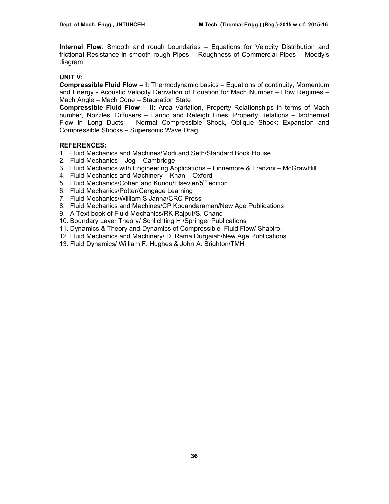**Internal Flow**: Smooth and rough boundaries – Equations for Velocity Distribution and frictional Resistance in smooth rough Pipes – Roughness of Commercial Pipes – Moody's diagram.

# **UNIT V:**

**Compressible Fluid Flow – I:** Thermodynamic basics – Equations of continuity, Momentum and Energy - Acoustic Velocity Derivation of Equation for Mach Number – Flow Regimes – Mach Angle – Mach Cone – Stagnation State

**Compressible Fluid Flow – II:** Area Variation, Property Relationships in terms of Mach number, Nozzles, Diffusers – Fanno and Releigh Lines, Property Relations – Isothermal Flow in Long Ducts – Normal Compressible Shock, Oblique Shock: Expansion and Compressible Shocks – Supersonic Wave Drag.

# **REFERENCES:**

- 1. Fluid Mechanics and Machines/Modi and Seth/Standard Book House
- 2. Fluid Mechanics Jog Cambridge
- 3. Fluid Mechanics with Engineering Applications Finnemore & Franzini McGrawHill
- 4. Fluid Mechanics and Machinery Khan Oxford
- 5. Fluid Mechanics/Cohen and Kundu/Elsevier/5<sup>th</sup> edition
- 6. Fluid Mechanics/Potter/Cengage Learning
- 7. Fluid Mechanics/William S Janna/CRC Press
- 8. Fluid Mechanics and Machines/CP Kodandaraman/New Age Publications
- 9. A Text book of Fluid Mechanics/RK Rajput/S. Chand
- 10. Boundary Layer Theory/ Schlichting H /Springer Publications
- 11. Dynamics & Theory and Dynamics of Compressible Fluid Flow/ Shapiro.
- 12. Fluid Mechanics and Machinery/ D. Rama Durgaiah/New Age Publications
- 13. Fluid Dynamics/ William F. Hughes & John A. Brighton/TMH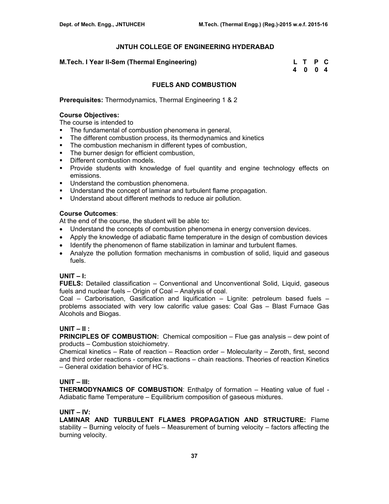### **M.Tech. I Year II-Sem (Thermal Engineering)**

| M.Tech. I Year II-Sem (Thermal Engineering) | L T P C |  |
|---------------------------------------------|---------|--|
|                                             | 4004    |  |

## **FUELS AND COMBUSTION**

**Prerequisites:** Thermodynamics, Thermal Engineering 1 & 2

## **Course Objectives:**

The course is intended to

- The fundamental of combustion phenomena in general,
- The different combustion process, its thermodynamics and kinetics
- **The combustion mechanism in different types of combustion,**
- The burner design for efficient combustion,
- **•** Different combustion models.
- **Provide students with knowledge of fuel quantity and engine technology effects on** emissions.
- Understand the combustion phenomena.
- **Understand the concept of laminar and turbulent flame propagation.**
- **Understand about different methods to reduce air pollution.**

### **Course Outcomes**:

At the end of the course, the student will be able to**:** 

- Understand the concepts of combustion phenomena in energy conversion devices.
- Apply the knowledge of adiabatic flame temperature in the design of combustion devices
- Identify the phenomenon of flame stabilization in laminar and turbulent flames.
- Analyze the pollution formation mechanisms in combustion of solid, liquid and gaseous fuels.

#### **UNIT – I:**

**FUELS:** Detailed classification – Conventional and Unconventional Solid, Liquid, gaseous fuels and nuclear fuels – Origin of Coal – Analysis of coal.

Coal – Carborisation, Gasification and liquification – Lignite: petroleum based fuels – problems associated with very low calorific value gases: Coal Gas – Blast Furnace Gas Alcohols and Biogas.

## **UNIT – II :**

**PRINCIPLES OF COMBUSTION:** Chemical composition – Flue gas analysis – dew point of products – Combustion stoichiometry.

Chemical kinetics – Rate of reaction – Reaction order – Molecularity – Zeroth, first, second and third order reactions - complex reactions – chain reactions. Theories of reaction Kinetics – General oxidation behavior of HC's.

## **UNIT – III:**

**THERMODYNAMICS OF COMBUSTION**: Enthalpy of formation – Heating value of fuel - Adiabatic flame Temperature – Equilibrium composition of gaseous mixtures.

#### **UNIT – IV:**

**LAMINAR AND TURBULENT FLAMES PROPAGATION AND STRUCTURE:** Flame stability – Burning velocity of fuels – Measurement of burning velocity – factors affecting the burning velocity.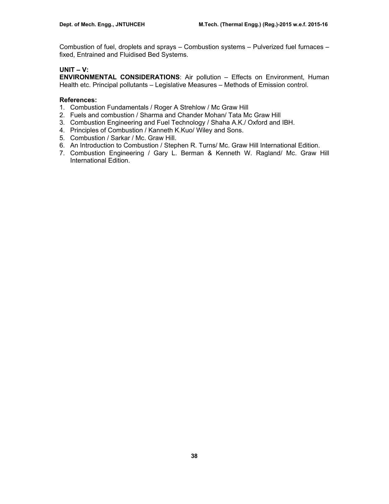Combustion of fuel, droplets and sprays – Combustion systems – Pulverized fuel furnaces – fixed, Entrained and Fluidised Bed Systems.

# **UNIT – V:**

**ENVIRONMENTAL CONSIDERATIONS**: Air pollution – Effects on Environment, Human Health etc. Principal pollutants – Legislative Measures – Methods of Emission control.

## **References:**

- 1. Combustion Fundamentals / Roger A Strehlow / Mc Graw Hill
- 2. Fuels and combustion / Sharma and Chander Mohan/ Tata Mc Graw Hill
- 3. Combustion Engineering and Fuel Technology / Shaha A.K./ Oxford and IBH.
- 4. Principles of Combustion / Kanneth K.Kuo/ Wiley and Sons.
- 5. Combustion / Sarkar / Mc. Graw Hill.
- 6. An Introduction to Combustion / Stephen R. Turns/ Mc. Graw Hill International Edition.
- 7. Combustion Engineering / Gary L. Berman & Kenneth W. Ragland/ Mc. Graw Hill International Edition.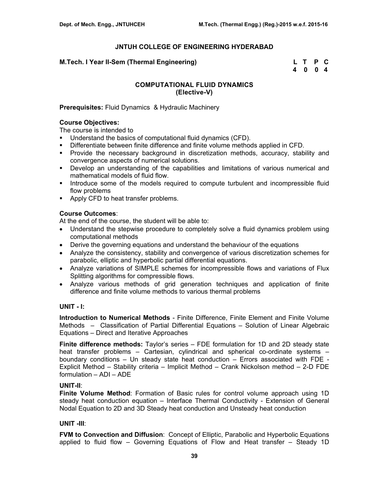### **M.Tech. I Year II-Sem (Thermal Engineering)**

| M.Tech. I Year II-Sem (Thermal Engineering) | L T P C |  |
|---------------------------------------------|---------|--|
|                                             | 4 0 0 4 |  |

## **COMPUTATIONAL FLUID DYNAMICS (Elective-V)**

### **Prerequisites:** Fluid Dynamics & Hydraulic Machinery

### **Course Objectives:**

The course is intended to

- Understand the basics of computational fluid dynamics (CFD).
- Differentiate between finite difference and finite volume methods applied in CFD.
- Provide the necessary background in discretization methods, accuracy, stability and convergence aspects of numerical solutions.
- Develop an understanding of the capabilities and limitations of various numerical and mathematical models of fluid flow.
- **Introduce some of the models required to compute turbulent and incompressible fluid** flow problems
- **Apply CFD to heat transfer problems.**

### **Course Outcomes**:

At the end of the course, the student will be able to:

- Understand the stepwise procedure to completely solve a fluid dynamics problem using computational methods
- Derive the governing equations and understand the behaviour of the equations
- Analyze the consistency, stability and convergence of various discretization schemes for parabolic, elliptic and hyperbolic partial differential equations.
- Analyze variations of SIMPLE schemes for incompressible flows and variations of Flux Splitting algorithms for compressible flows.
- Analyze various methods of grid generation techniques and application of finite difference and finite volume methods to various thermal problems

#### **UNIT - I:**

**Introduction to Numerical Methods** - Finite Difference, Finite Element and Finite Volume Methods – Classification of Partial Differential Equations – Solution of Linear Algebraic Equations – Direct and Iterative Approaches

**Finite difference methods:** Taylor's series – FDE formulation for 1D and 2D steady state heat transfer problems – Cartesian, cylindrical and spherical co-ordinate systems – boundary conditions – Un steady state heat conduction – Errors associated with FDE - Explicit Method – Stability criteria – Implicit Method – Crank Nickolson method – 2-D FDE formulation – ADI – ADE

#### **UNIT-II**:

**Finite Volume Method**: Formation of Basic rules for control volume approach using 1D steady heat conduction equation – Interface Thermal Conductivity - Extension of General Nodal Equation to 2D and 3D Steady heat conduction and Unsteady heat conduction

## **UNIT -III**:

**FVM to Convection and Diffusion**: Concept of Elliptic, Parabolic and Hyperbolic Equations applied to fluid flow – Governing Equations of Flow and Heat transfer – Steady 1D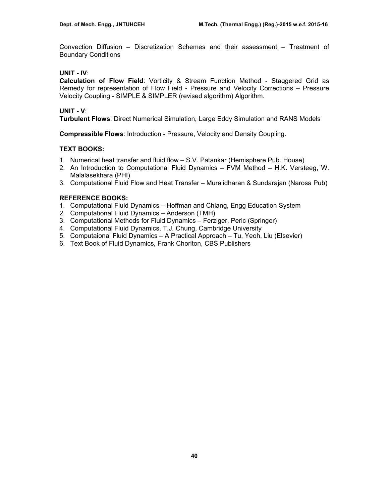Convection Diffusion – Discretization Schemes and their assessment – Treatment of Boundary Conditions

# **UNIT - IV**:

**Calculation of Flow Field**: Vorticity & Stream Function Method - Staggered Grid as Remedy for representation of Flow Field - Pressure and Velocity Corrections – Pressure Velocity Coupling - SIMPLE & SIMPLER (revised algorithm) Algorithm.

# **UNIT - V**:

**Turbulent Flows**: Direct Numerical Simulation, Large Eddy Simulation and RANS Models

**Compressible Flows**: Introduction - Pressure, Velocity and Density Coupling.

# **TEXT BOOKS:**

- 1. Numerical heat transfer and fluid flow S.V. Patankar (Hemisphere Pub. House)
- 2. An Introduction to Computational Fluid Dynamics FVM Method H.K. Versteeg, W. Malalasekhara (PHI)
- 3. Computational Fluid Flow and Heat Transfer Muralidharan & Sundarajan (Narosa Pub)

# **REFERENCE BOOKS:**

- 1. Computational Fluid Dynamics Hoffman and Chiang, Engg Education System
- 2. Computational Fluid Dynamics Anderson (TMH)
- 3. Computational Methods for Fluid Dynamics Ferziger, Peric (Springer)
- 4. Computational Fluid Dynamics, T.J. Chung, Cambridge University
- 5. Computaional Fluid Dynamics A Practical Approach Tu, Yeoh, Liu (Elsevier)
- 6. Text Book of Fluid Dynamics, Frank Chorlton, CBS Publishers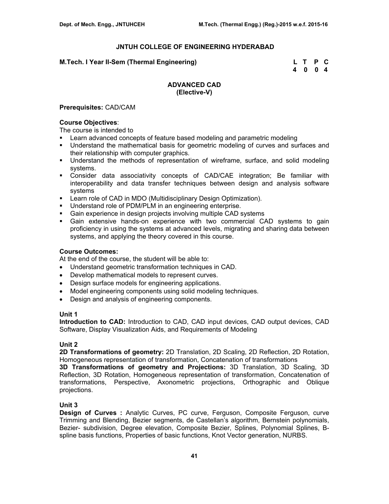## **M.Tech. I Year II-Sem (Thermal Engineering) L T P C**

 **4 0 0 4** 

# **ADVANCED CAD (Elective-V)**

### **Prerequisites:** CAD/CAM

### **Course Objectives**:

The course is intended to

- **EXECT** Learn advanced concepts of feature based modeling and parametric modeling
- Understand the mathematical basis for geometric modeling of curves and surfaces and their relationship with computer graphics.
- Understand the methods of representation of wireframe, surface, and solid modeling systems.
- Consider data associativity concepts of CAD/CAE integration; Be familiar with interoperability and data transfer techniques between design and analysis software systems
- **EXECT:** Learn role of CAD in MDO (Multidisciplinary Design Optimization).
- Understand role of PDM/PLM in an engineering enterprise.
- Gain experience in design projects involving multiple CAD systems
- Gain extensive hands-on experience with two commercial CAD systems to gain proficiency in using the systems at advanced levels, migrating and sharing data between systems, and applying the theory covered in this course.

## **Course Outcomes:**

At the end of the course, the student will be able to:

- Understand geometric transformation techniques in CAD.
- Develop mathematical models to represent curves.
- Design surface models for engineering applications.
- Model engineering components using solid modeling techniques.
- Design and analysis of engineering components.

## **Unit 1**

**Introduction to CAD:** Introduction to CAD, CAD input devices, CAD output devices, CAD Software, Display Visualization Aids, and Requirements of Modeling

## **Unit 2**

**2D Transformations of geometry:** 2D Translation, 2D Scaling, 2D Reflection, 2D Rotation, Homogeneous representation of transformation, Concatenation of transformations

**3D Transformations of geometry and Projections:** 3D Translation, 3D Scaling, 3D Reflection, 3D Rotation, Homogeneous representation of transformation, Concatenation of transformations, Perspective, Axonometric projections, Orthographic and Oblique projections.

## **Unit 3**

**Design of Curves :** Analytic Curves, PC curve, Ferguson, Composite Ferguson, curve Trimming and Blending, Bezier segments, de Castellan's algorithm, Bernstein polynomials, Bezier- subdivision, Degree elevation, Composite Bezier, Splines, Polynomial Splines, Bspline basis functions, Properties of basic functions, Knot Vector generation, NURBS.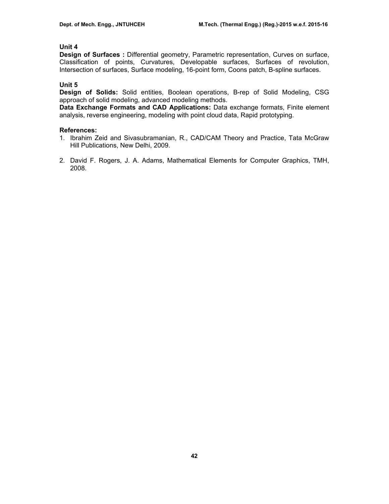# **Unit 4**

**Design of Surfaces :** Differential geometry, Parametric representation, Curves on surface, Classification of points, Curvatures, Developable surfaces, Surfaces of revolution, Intersection of surfaces, Surface modeling, 16-point form, Coons patch, B-spline surfaces.

## **Unit 5**

**Design of Solids:** Solid entities, Boolean operations, B-rep of Solid Modeling, CSG approach of solid modeling, advanced modeling methods.

**Data Exchange Formats and CAD Applications:** Data exchange formats, Finite element analysis, reverse engineering, modeling with point cloud data, Rapid prototyping.

### **References:**

- 1. Ibrahim Zeid and Sivasubramanian, R., CAD/CAM Theory and Practice, Tata McGraw Hill Publications, New Delhi, 2009.
- 2. David F. Rogers, J. A. Adams, Mathematical Elements for Computer Graphics, TMH, 2008.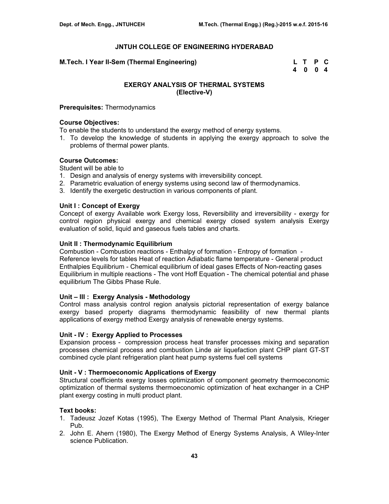**M.Tech. I Year II-Sem (Thermal Engineering) L T P C** 

 **4 0 0 4** 

# **EXERGY ANALYSIS OF THERMAL SYSTEMS (Elective-V)**

#### **Prerequisites:** Thermodynamics

### **Course Objectives:**

To enable the students to understand the exergy method of energy systems.

1. To develop the knowledge of students in applying the exergy approach to solve the problems of thermal power plants.

### **Course Outcomes:**

Student will be able to

- 1. Design and analysis of energy systems with irreversibility concept.
- 2. Parametric evaluation of energy systems using second law of thermodynamics.
- 3. Identify the exergetic destruction in various components of plant.

### **Unit I : Concept of Exergy**

Concept of exergy Available work Exergy loss, Reversibility and irreversibility - exergy for control region physical exergy and chemical exergy closed system analysis Exergy evaluation of solid, liquid and gaseous fuels tables and charts.

### **Unit II : Thermodynamic Equilibrium**

Combustion - Combustion reactions - Enthalpy of formation - Entropy of formation - Reference levels for tables Heat of reaction Adiabatic flame temperature - General product Enthalpies Equilibrium - Chemical equilibrium of ideal gases Effects of Non-reacting gases Equilibrium in multiple reactions - The vont Hoff Equation - The chemical potential and phase equilibrium The Gibbs Phase Rule.

#### **Unit – III : Exergy Analysis - Methodology**

Control mass analysis control region analysis pictorial representation of exergy balance exergy based property diagrams thermodynamic feasibility of new thermal plants applications of exergy method Exergy analysis of renewable energy systems.

# **Unit - IV : Exergy Applied to Processes**

Expansion process - compression process heat transfer processes mixing and separation processes chemical process and combustion Linde air liquefaction plant CHP plant GT-ST combined cycle plant refrigeration plant heat pump systems fuel cell systems

#### **Unit - V : Thermoeconomic Applications of Exergy**

Structural coefficients exergy losses optimization of component geometry thermoeconomic optimization of thermal systems thermoeconomic optimization of heat exchanger in a CHP plant exergy costing in multi product plant.

#### **Text books:**

- 1. Tadeusz Jozef Kotas (1995), The Exergy Method of Thermal Plant Analysis, Krieger Pub.
- 2. John E. Ahern (1980), The Exergy Method of Energy Systems Analysis, A Wiley-Inter science Publication.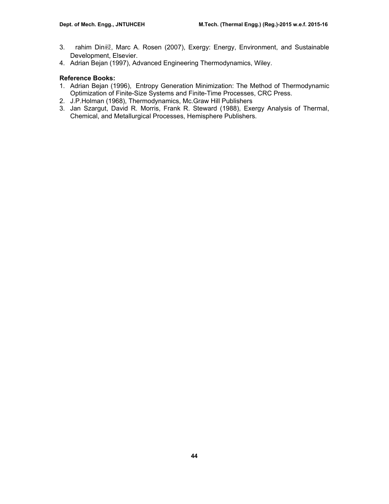- 3. rahim Din祲, Marc A. Rosen (2007), Exergy: Energy, Environment, and Sustainable Development, Elsevier.
- 4. Adrian Bejan (1997), Advanced Engineering Thermodynamics, Wiley.

# **Reference Books:**

- 1. Adrian Bejan (1996), Entropy Generation Minimization: The Method of Thermodynamic Optimization of Finite-Size Systems and Finite-Time Processes, CRC Press.
- 2. J.P.Holman (1968), Thermodynamics, Mc.Graw Hill Publishers
- 3. Jan Szargut, David R. Morris, Frank R. Steward (1988), Exergy Analysis of Thermal, Chemical, and Metallurgical Processes, Hemisphere Publishers.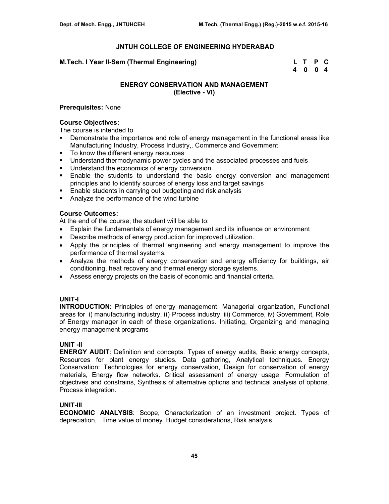### **M.Tech. I Year II-Sem (Thermal Engineering)**

| M.Tech. I Year II-Sem (Thermal Engineering) | L T P C |  |
|---------------------------------------------|---------|--|
|                                             | 4 0 0 4 |  |

# **ENERGY CONSERVATION AND MANAGEMENT (Elective - VI)**

### **Prerequisites:** None

### **Course Objectives:**

The course is intended to

- **Demonstrate the importance and role of energy management in the functional areas like** Manufacturing Industry, Process Industry,. Commerce and Government
- To know the different energy resources
- Understand thermodynamic power cycles and the associated processes and fuels
- **Understand the economics of energy conversion**
- Enable the students to understand the basic energy conversion and management principles and to identify sources of energy loss and target savings
- **Enable students in carrying out budgeting and risk analysis**
- Analyze the performance of the wind turbine

### **Course Outcomes:**

At the end of the course, the student will be able to:

- Explain the fundamentals of energy management and its influence on environment
- Describe methods of energy production for improved utilization.
- Apply the principles of thermal engineering and energy management to improve the performance of thermal systems.
- Analyze the methods of energy conservation and energy efficiency for buildings, air conditioning, heat recovery and thermal energy storage systems.
- Assess energy projects on the basis of economic and financial criteria.

## **UNIT-I**

**INTRODUCTION**: Principles of energy management. Managerial organization, Functional areas for i) manufacturing industry, ii) Process industry, iii) Commerce, iv) Government, Role of Energy manager in each of these organizations. Initiating, Organizing and managing energy management programs

## **UNIT -II**

**ENERGY AUDIT**: Definition and concepts. Types of energy audits, Basic energy concepts, Resources for plant energy studies. Data gathering, Analytical techniques. Energy Conservation: Technologies for energy conservation, Design for conservation of energy materials, Energy flow networks. Critical assessment of energy usage. Formulation of objectives and constrains, Synthesis of alternative options and technical analysis of options. Process integration.

## **UNIT-III**

**ECONOMIC ANALYSIS**: Scope, Characterization of an investment project. Types of depreciation, Time value of money. Budget considerations, Risk analysis.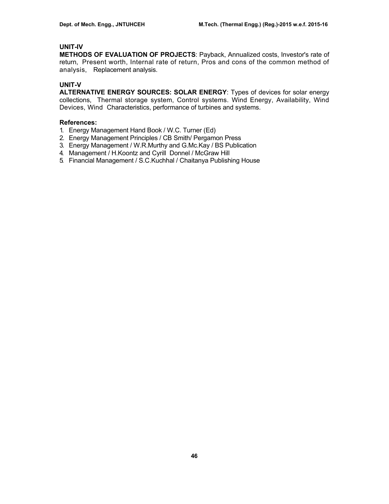# **UNIT-IV**

**METHODS OF EVALUATION OF PROJECTS**: Payback, Annualized costs, Investor's rate of return, Present worth, Internal rate of return, Pros and cons of the common method of analysis, Replacement analysis.

# **UNIT-V**

**ALTERNATIVE ENERGY SOURCES: SOLAR ENERGY**: Types of devices for solar energy collections, Thermal storage system, Control systems. Wind Energy, Availability, Wind Devices, Wind Characteristics, performance of turbines and systems.

## **References:**

- 1. Energy Management Hand Book / W.C. Turner (Ed)
- 2. Energy Management Principles / CB Smith/ Pergamon Press
- 3. Energy Management / W.R.Murthy and G.Mc.Kay / BS Publication
- 4. Management / H.Koontz and Cyrill Donnel / McGraw Hill
- 5. Financial Management / S.C.Kuchhal / Chaitanya Publishing House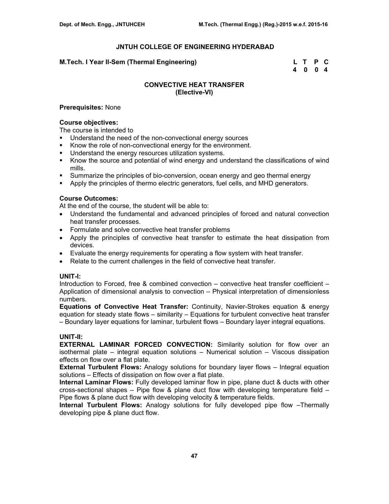### **M.Tech. I Year II-Sem (Thermal Engineering) L T P C**

 **4 0 0 4** 

## **CONVECTIVE HEAT TRANSFER (Elective-VI)**

### **Prerequisites:** None

#### **Course objectives:**

The course is intended to

- Understand the need of the non-convectional energy sources
- Know the role of non-convectional energy for the environment.
- **Understand the energy resources utilization systems.**
- Know the source and potential of wind energy and understand the classifications of wind mills.
- Summarize the principles of bio-conversion, ocean energy and geo thermal energy
- Apply the principles of thermo electric generators, fuel cells, and MHD generators.

# **Course Outcomes:**

At the end of the course, the student will be able to:

- Understand the fundamental and advanced principles of forced and natural convection heat transfer processes.
- Formulate and solve convective heat transfer problems
- Apply the principles of convective heat transfer to estimate the heat dissipation from devices.
- Evaluate the energy requirements for operating a flow system with heat transfer.
- Relate to the current challenges in the field of convective heat transfer.

## **UNIT-I:**

Introduction to Forced, free & combined convection – convective heat transfer coefficient – Application of dimensional analysis to convection – Physical interpretation of dimensionless numbers.

**Equations of Convective Heat Transfer:** Continuity, Navier-Strokes equation & energy equation for steady state flows – similarity – Equations for turbulent convective heat transfer – Boundary layer equations for laminar, turbulent flows – Boundary layer integral equations.

## **UNIT-II:**

**EXTERNAL LAMINAR FORCED CONVECTION:** Similarity solution for flow over an isothermal plate – integral equation solutions – Numerical solution – Viscous dissipation effects on flow over a flat plate.

**External Turbulent Flows:** Analogy solutions for boundary layer flows – Integral equation solutions – Effects of dissipation on flow over a flat plate.

**Internal Laminar Flows:** Fully developed laminar flow in pipe, plane duct & ducts with other cross-sectional shapes  $-$  Pipe flow & plane duct flow with developing temperature field  $-$ Pipe flows & plane duct flow with developing velocity & temperature fields.

**Internal Turbulent Flows:** Analogy solutions for fully developed pipe flow –Thermally developing pipe & plane duct flow.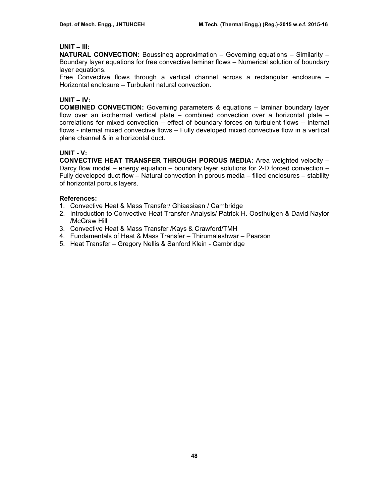## **UNIT – III:**

**NATURAL CONVECTION:** Boussineq approximation – Governing equations – Similarity – Boundary layer equations for free convective laminar flows – Numerical solution of boundary layer equations.

Free Convective flows through a vertical channel across a rectangular enclosure – Horizontal enclosure – Turbulent natural convection.

# **UNIT – IV:**

**COMBINED CONVECTION:** Governing parameters & equations – laminar boundary layer flow over an isothermal vertical plate – combined convection over a horizontal plate – correlations for mixed convection – effect of boundary forces on turbulent flows – internal flows - internal mixed convective flows – Fully developed mixed convective flow in a vertical plane channel & in a horizontal duct.

# **UNIT - V:**

**CONVECTIVE HEAT TRANSFER THROUGH POROUS MEDIA:** Area weighted velocity – Darcy flow model – energy equation – boundary layer solutions for 2-D forced convection – Fully developed duct flow – Natural convection in porous media – filled enclosures – stability of horizontal porous layers.

# **References:**

- 1. Convective Heat & Mass Transfer/ Ghiaasiaan / Cambridge
- 2. Introduction to Convective Heat Transfer Analysis/ Patrick H. Oosthuigen & David Naylor /McGraw Hill
- 3. Convective Heat & Mass Transfer /Kays & Crawford/TMH
- 4. Fundamentals of Heat & Mass Transfer Thirumaleshwar Pearson
- 5. Heat Transfer Gregory Nellis & Sanford Klein Cambridge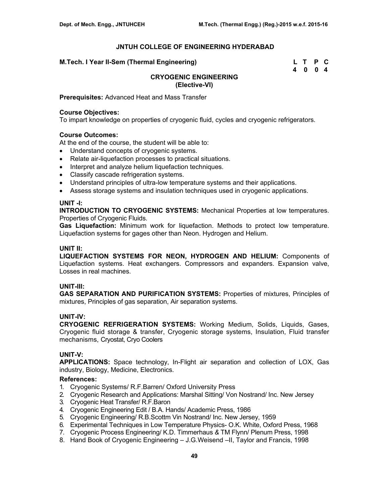| M.Tech. I Year II-Sem (Thermal Engineering) | L T P C |  |
|---------------------------------------------|---------|--|
|                                             | 4 0 0 4 |  |

# **CRYOGENIC ENGINEERING (Elective-VI)**

**Prerequisites:** Advanced Heat and Mass Transfer

### **Course Objectives:**

To impart knowledge on properties of cryogenic fluid, cycles and cryogenic refrigerators.

## **Course Outcomes:**

At the end of the course, the student will be able to:

- Understand concepts of cryogenic systems.
- Relate air-liquefaction processes to practical situations.
- Interpret and analyze helium liquefaction techniques.
- Classify cascade refrigeration systems.
- Understand principles of ultra-low temperature systems and their applications.
- Assess storage systems and insulation techniques used in cryogenic applications.

### **UNIT -I:**

**INTRODUCTION TO CRYOGENIC SYSTEMS:** Mechanical Properties at low temperatures. Properties of Cryogenic Fluids.

**Gas Liquefaction:** Minimum work for liquefaction. Methods to protect low temperature. Liquefaction systems for gages other than Neon. Hydrogen and Helium.

# **UNIT II:**

**LIQUEFACTION SYSTEMS FOR NEON, HYDROGEN AND HELIUM:** Components of Liquefaction systems. Heat exchangers. Compressors and expanders. Expansion valve, Losses in real machines.

## **UNIT-III:**

**GAS SEPARATION AND PURIFICATION SYSTEMS:** Properties of mixtures, Principles of mixtures, Principles of gas separation, Air separation systems.

## **UNIT-IV:**

**CRYOGENIC REFRIGERATION SYSTEMS:** Working Medium, Solids, Liquids, Gases, Cryogenic fluid storage & transfer, Cryogenic storage systems, Insulation, Fluid transfer mechanisms, Cryostat, Cryo Coolers

## **UNIT-V:**

**APPLICATIONS:** Space technology, In-Flight air separation and collection of LOX, Gas industry, Biology, Medicine, Electronics.

## **References:**

- 1. Cryogenic Systems/ R.F.Barren/ Oxford University Press
- 2. Cryogenic Research and Applications: Marshal Sitting/ Von Nostrand/ Inc. New Jersey
- 3. Cryogenic Heat Transfer/ R.F.Baron
- 4. Cryogenic Engineering Edit / B.A. Hands/ Academic Press, 1986
- 5. Cryogenic Engineering/ R.B.Scottm Vin Nostrand/ Inc. New Jersey, 1959
- 6. Experimental Techniques in Low Temperature Physics- O.K. White, Oxford Press, 1968
- 7. Cryogenic Process Engineering/ K.D. Timmerhaus *&* TM Flynn/ Plenum Press, 1998
- 8. Hand Book of Cryogenic Engineering J.G.Weisend –II, Taylor and Francis, 1998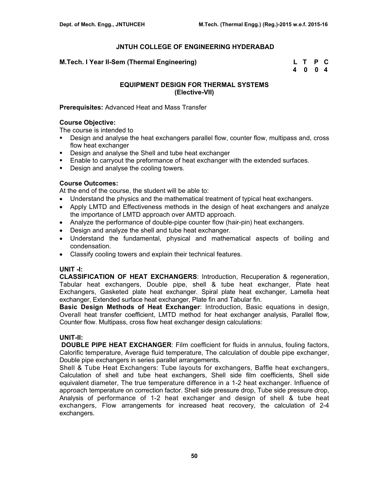### **M.Tech. I Year II-Sem (Thermal Engineering)**

| M.Tech. I Year II-Sem (Thermal Engineering) | L T P C |  |
|---------------------------------------------|---------|--|
|                                             | 4004    |  |

# **EQUIPMENT DESIGN FOR THERMAL SYSTEMS (Elective-VII)**

### **Prerequisites:** Advanced Heat and Mass Transfer

### **Course Objective:**

The course is intended to

- **Design and analyse the heat exchangers parallel flow, counter flow, multipass and, cross** flow heat exchanger
- **Design and analyse the Shell and tube heat exchanger**
- **Enable to carryout the preformance of heat exchanger with the extended surfaces.**
- Design and analyse the cooling towers.

## **Course Outcomes:**

At the end of the course, the student will be able to:

- Understand the physics and the mathematical treatment of typical heat exchangers.
- Apply LMTD and Effectiveness methods in the design of heat exchangers and analyze the importance of LMTD approach over AMTD approach.
- Analyze the performance of double-pipe counter flow (hair-pin) heat exchangers.
- Design and analyze the shell and tube heat exchanger.
- Understand the fundamental, physical and mathematical aspects of boiling and condensation.
- Classify cooling towers and explain their technical features.

## **UNIT -I:**

**CLASSIFICATION OF HEAT EXCHANGERS**: Introduction, Recuperation & regeneration, Tabular heat exchangers, Double pipe, shell & tube heat exchanger, Plate heat Exchangers, Gasketed plate heat exchanger. Spiral plate heat exchanger, Lamella heat exchanger, Extended surface heat exchanger, Plate fin and Tabular fin.

**Basic Design Methods of Heat Exchanger**: Introduction, Basic equations in design, Overall heat transfer coefficient, LMTD method for heat exchanger analysis, Parallel flow, Counter flow. Multipass, cross flow heat exchanger design calculations:

## **UNIT-II:**

**DOUBLE PIPE HEAT EXCHANGER:** Film coefficient for fluids in annulus, fouling factors, Calorific temperature, Average fluid temperature, The calculation of double pipe exchanger, Double pipe exchangers in series parallel arrangements.

Shell & Tube Heat Exchangers: Tube layouts for exchangers, Baffle heat exchangers, Calculation of shell and tube heat exchangers, Shell side film coefficients, Shell side equivalent diameter, The true temperature difference in a 1-2 heat exchanger. Influence of approach temperature on correction factor. Shell side pressure drop, Tube side pressure drop, Analysis of performance of 1-2 heat exchanger and design of shell & tube heat exchangers, Flow arrangements for increased heat recovery, the calculation of 2-4 exchangers.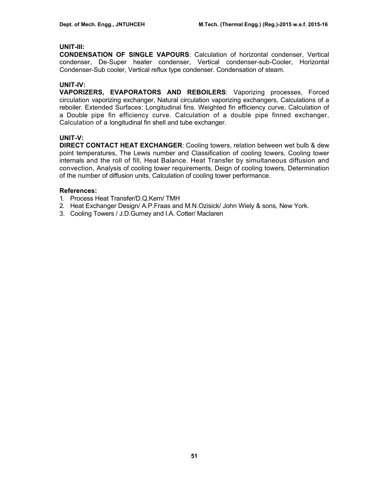## **UNIT-III:**

**CONDENSATION OF SINGLE VAPOURS**: Calculation of horizontal condenser, Vertical condenser, De-Super heater condenser, Vertical condenser-sub-Cooler, Horizontal Condenser-Sub cooler, Vertical reflux type condenser. Condensation of steam.

## **UNIT-IV:**

**VAPORIZERS, EVAPORATORS AND REBOILERS**: Vaporizing processes, Forced circulation vaporizing exchanger, Natural circulation vaporizing exchangers, Calculations of a reboiler. Extended Surfaces: Longitudinal fins. Weighted fin efficiency curve, Calculation of a Double pipe fin efficiency curve. Calculation of a double pipe finned exchanger, Calculation of a longitudinal fin shell and tube exchanger.

# **UNIT-V:**

**DIRECT CONTACT HEAT EXCHANGER**: Cooling towers, relation between wet bulb & dew point temperatures, The Lewis number and Classification of cooling towers, Cooling tower internals and the roll of fill, Heat Balance. Heat Transfer by simultaneous diffusion and convection, Analysis of cooling tower requirements, Deign of cooling towers, Determination of the number of diffusion units, Calculation of cooling tower performance.

### **References:**

- 1. Process Heat Transfer/D.Q.Kern/ TMH
- 2. Heat Exchanger Design/ A.P.Fraas and M.N.Ozisick/ John Wiely & sons, New York.
- 3. Cooling Towers / J.D.Gurney and I.A. Cotter/ Maclaren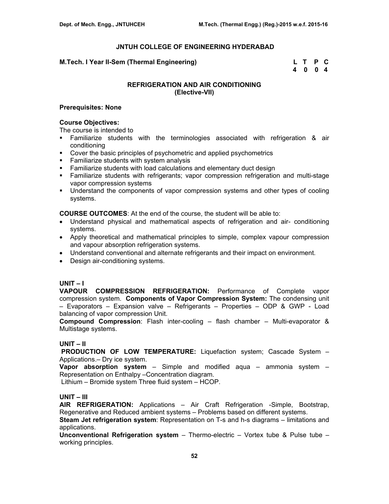### **M.Tech. I Year II-Sem (Thermal Engineering) L T P C**

 **4 0 0 4** 

# **REFRIGERATION AND AIR CONDITIONING (Elective-VII)**

### **Prerequisites: None**

### **Course Objectives:**

The course is intended to

- Familiarize students with the terminologies associated with refrigeration & air conditioning
- Cover the basic principles of psychometric and applied psychometrics
- **Familiarize students with system analysis**
- **Familiarize students with load calculations and elementary duct design**
- Familiarize students with refrigerants; vapor compression refrigeration and multi-stage vapor compression systems
- **Understand the components of vapor compression systems and other types of cooling** systems.

**COURSE OUTCOMES**: At the end of the course, the student will be able to:

- Understand physical and mathematical aspects of refrigeration and air- conditioning systems.
- Apply theoretical and mathematical principles to simple, complex vapour compression and vapour absorption refrigeration systems.
- Understand conventional and alternate refrigerants and their impact on environment.
- Design air-conditioning systems.

## **UNIT – I**

**VAPOUR COMPRESSION REFRIGERATION:** Performance of Complete vapor compression system. **Components of Vapor Compression System:** The condensing unit – Evaporators – Expansion valve – Refrigerants – Properties – ODP & GWP - Load balancing of vapor compression Unit.

**Compound Compression**: Flash inter-cooling – flash chamber – Multi-evaporator & Multistage systems.

## **UNIT – II**

 **PRODUCTION OF LOW TEMPERATURE:** Liquefaction system; Cascade System – Applications.– Dry ice system.

**Vapor absorption system** – Simple and modified aqua – ammonia system – Representation on Enthalpy –Concentration diagram.

Lithium – Bromide system Three fluid system – HCOP.

# **UNIT – III**

**AIR REFRIGERATION:** Applications – Air Craft Refrigeration -Simple, Bootstrap, Regenerative and Reduced ambient systems – Problems based on different systems.

**Steam Jet refrigeration system**: Representation on T-s and h-s diagrams – limitations and applications.

**Unconventional Refrigeration system** – Thermo-electric – Vortex tube & Pulse tube – working principles.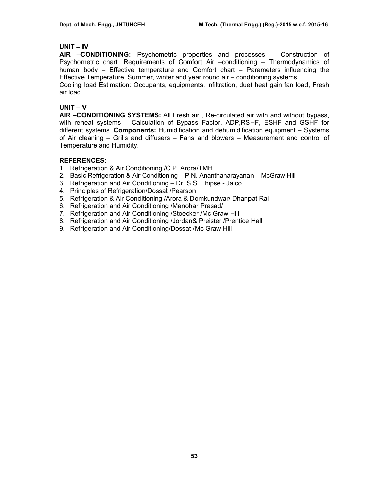## **UNIT – IV**

**AIR –CONDITIONING:** Psychometric properties and processes – Construction of Psychometric chart. Requirements of Comfort Air –conditioning – Thermodynamics of human body – Effective temperature and Comfort chart – Parameters influencing the Effective Temperature. Summer, winter and year round air – conditioning systems.

Cooling load Estimation: Occupants, equipments, infiltration, duet heat gain fan load, Fresh air load.

### **UNIT – V**

**AIR –CONDITIONING SYSTEMS:** All Fresh air , Re-circulated air with and without bypass, with reheat systems – Calculation of Bypass Factor, ADP,RSHF, ESHF and GSHF for different systems. **Components:** Humidification and dehumidification equipment – Systems of Air cleaning – Grills and diffusers – Fans and blowers – Measurement and control of Temperature and Humidity.

## **REFERENCES:**

- 1. Refrigeration & Air Conditioning /C.P. Arora/TMH
- 2. Basic Refrigeration & Air Conditioning P.N. Ananthanarayanan McGraw Hill
- 3. Refrigeration and Air Conditioning Dr. S.S. Thipse Jaico
- 4. Principles of Refrigeration/Dossat /Pearson
- 5. Refrigeration & Air Conditioning /Arora & Domkundwar/ Dhanpat Rai
- 6. Refrigeration and Air Conditioning /Manohar Prasad/
- 7. Refrigeration and Air Conditioning /Stoecker /Mc Graw Hill
- 8. Refrigeration and Air Conditioning /Jordan& Preister /Prentice Hall
- 9. Refrigeration and Air Conditioning/Dossat /Mc Graw Hill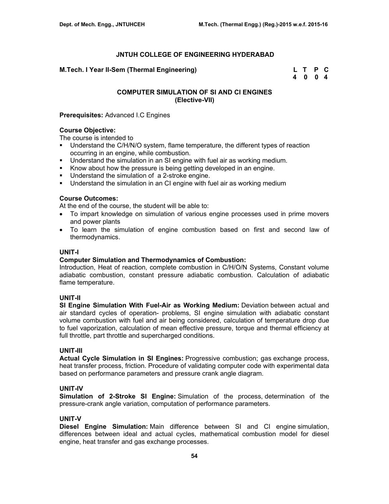# **M.Tech. I Year II-Sem (Thermal Engineering)**

| M.Tech. I Year II-Sem (Thermal Engineering) | L T P C |  |
|---------------------------------------------|---------|--|
|                                             | 4004    |  |

# **COMPUTER SIMULATION OF SI AND CI ENGINES (Elective-VII)**

### **Prerequisites:** Advanced I.C Engines

# **Course Objective:**

The course is intended to

- Understand the C/H/N/O system, flame temperature, the different types of reaction occurring in an engine, while combustion.
- Understand the simulation in an SI engine with fuel air as working medium.
- Know about how the pressure is being getting developed in an engine.
- **Understand the simulation of a 2-stroke engine.**
- Understand the simulation in an CI engine with fuel air as working medium

## **Course Outcomes:**

At the end of the course, the student will be able to:

- To impart knowledge on simulation of various engine processes used in prime movers and power plants
- To learn the simulation of engine combustion based on first and second law of thermodynamics.

### **UNIT-I**

### **Computer Simulation and Thermodynamics of Combustion:**

Introduction, Heat of reaction, complete combustion in C/H/O/N Systems, Constant volume adiabatic combustion, constant pressure adiabatic combustion. Calculation of adiabatic flame temperature.

## **UNIT-II**

**SI Engine Simulation With Fuel-Air as Working Medium:** Deviation between actual and air standard cycles of operation- problems, SI engine simulation with adiabatic constant volume combustion with fuel and air being considered, calculation of temperature drop due to fuel vaporization, calculation of mean effective pressure, torque and thermal efficiency at full throttle, part throttle and supercharged conditions.

### **UNIT-III**

**Actual Cycle Simulation in SI Engines:** Progressive combustion; gas exchange process, heat transfer process, friction. Procedure of validating computer code with experimental data based on performance parameters and pressure crank angle diagram.

## **UNIT-IV**

**Simulation of 2-Stroke SI Engine:** Simulation of the process, determination of the pressure-crank angle variation, computation of performance parameters.

#### **UNIT-V**

**Diesel Engine Simulation:** Main difference between SI and CI engine simulation, differences between ideal and actual cycles, mathematical combustion model for diesel engine, heat transfer and gas exchange processes.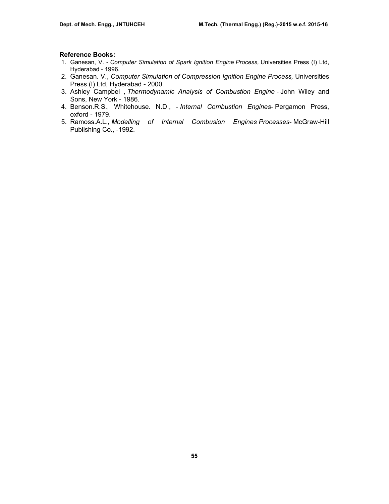#### **Reference Books:**

- 1. Ganesan, V. *Computer Simulation of Spark Ignition Engine Process,* Universities Press (I) Ltd, Hyderabad - 1996.
- 2. Ganesan. V., *Computer Simulation of Compression Ignition Engine Process,* Universities Press (I) Ltd, Hyderabad - 2000.
- 3. Ashley Campbel , *Thermodynamic Analysis of Combustion Engine* John Wiley and Sons, New York - 1986.
- 4. Benson.R.S., Whitehouse. N.D., *Internal Combustion Engines-* Pergamon Press, oxford - 1979.
- 5. Ramoss.A.L., *Modelling of Internal Combusion Engines Processes-* McGraw-Hill Publishing Co., -1992.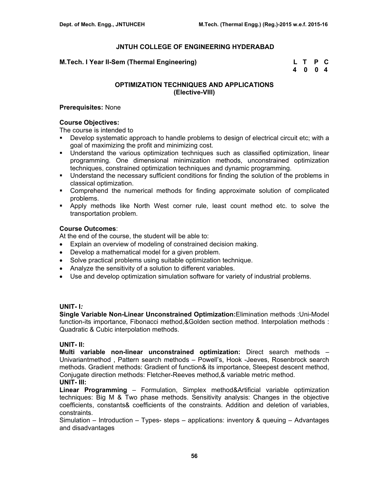### **M.Tech. I Year II-Sem (Thermal Engineering)**

| M.Tech. I Year II-Sem (Thermal Engineering) | L T P C |  |
|---------------------------------------------|---------|--|
|                                             | 4 0 0 4 |  |

## **OPTIMIZATION TECHNIQUES AND APPLICATIONS (Elective-VIII)**

### **Prerequisites:** None

### **Course Objectives:**

The course is intended to

- Develop systematic approach to handle problems to design of electrical circuit etc; with a goal of maximizing the profit and minimizing cost.
- Understand the various optimization techniques such as classified optimization, linear programming. One dimensional minimization methods, unconstrained optimization techniques, constrained optimization techniques and dynamic programming.
- Understand the necessary sufficient conditions for finding the solution of the problems in classical optimization.
- Comprehend the numerical methods for finding approximate solution of complicated problems.
- Apply methods like North West corner rule, least count method etc. to solve the transportation problem.

### **Course Outcomes**:

At the end of the course, the student will be able to:

- Explain an overview of modeling of constrained decision making.
- Develop a mathematical model for a given problem.
- Solve practical problems using suitable optimization technique.
- Analyze the sensitivity of a solution to different variables.
- Use and develop optimization simulation software for variety of industrial problems.

# **UNIT- I***:*

**Single Variable Non-Linear Unconstrained Optimization:**Elimination methods :Uni-Model function-its importance, Fibonacci method,&Golden section method. Interpolation methods : Quadratic & Cubic interpolation methods.

## **UNIT- II:**

**Multi variable non-linear unconstrained optimization:** Direct search methods – Univariantmethod , Pattern search methods – Powell's, Hook -Jeeves, Rosenbrock search methods. Gradient methods: Gradient of function& its importance, Steepest descent method, Conjugate direction methods: Fletcher-Reeves method,& variable metric method. **UNIT- III:**

**Linear Programming** – Formulation, Simplex method&Artificial variable optimization techniques: Big M & Two phase methods. Sensitivity analysis: Changes in the objective coefficients, constants& coefficients of the constraints. Addition and deletion of variables, constraints.

Simulation – Introduction – Types- steps – applications: inventory & queuing – Advantages and disadvantages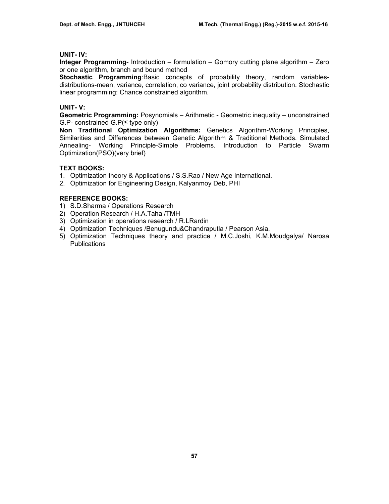# **UNIT- IV:**

**Integer Programming**- Introduction – formulation – Gomory cutting plane algorithm – Zero or one algorithm, branch and bound method

**Stochastic Programming**:Basic concepts of probability theory, random variablesdistributions-mean, variance, correlation, co variance, joint probability distribution. Stochastic linear programming: Chance constrained algorithm.

# **UNIT- V:**

**Geometric Programming:** Posynomials – Arithmetic - Geometric inequality – unconstrained G.P- constrained G.P(≤ type only)

**Non Traditional Optimization Algorithms:** Genetics Algorithm-Working Principles, Similarities and Differences between Genetic Algorithm & Traditional Methods. Simulated Annealing- Working Principle-Simple Problems. Introduction to Particle Swarm Optimization(PSO)(very brief)

# **TEXT BOOKS:**

- 1. Optimization theory & Applications / S.S.Rao / New Age International.
- 2. Optimization for Engineering Design, Kalyanmoy Deb, PHI

# **REFERENCE BOOKS:**

- 1) S.D.Sharma / Operations Research
- 2) Operation Research / H.A.Taha /TMH
- 3) Optimization in operations research / R.LRardin
- 4) Optimization Techniques /Benugundu&Chandraputla / Pearson Asia.
- 5) Optimization Techniques theory and practice / M.C.Joshi, K.M.Moudgalya/ Narosa Publications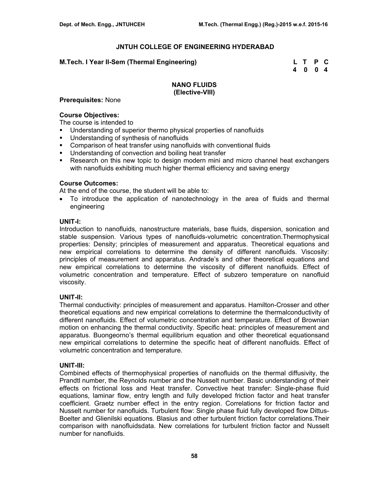### **M.Tech. I Year II-Sem (Thermal Engineering) L T P C**

 **4 0 0 4** 

## **NANO FLUIDS (Elective-VIII)**

### **Prerequisites:** None

## **Course Objectives:**

The course is intended to

- Understanding of superior thermo physical properties of nanofluids
- Understanding of synthesis of nanofluids
- Comparison of heat transfer using nanofluids with conventional fluids
- Understanding of convection and boiling heat transfer
- Research on this new topic to design modern mini and micro channel heat exchangers with nanofluids exhibiting much higher thermal efficiency and saving energy

### **Course Outcomes:**

At the end of the course, the student will be able to:

• To introduce the application of nanotechnology in the area of fluids and thermal engineering

### **UNIT-I:**

Introduction to nanofluids, nanostructure materials, base fluids, dispersion, sonication and stable suspension. Various types of nanofluids-volumetric concentration.Thermophysical properties: Density; principles of measurement and apparatus. Theoretical equations and new empirical correlations to determine the density of different nanofluids. Viscosity: principles of measurement and apparatus. Andrade's and other theoretical equations and new empirical correlations to determine the viscosity of different nanofluids. Effect of volumetric concentration and temperature. Effect of subzero temperature on nanofluid viscosity.

#### **UNIT-II:**

Thermal conductivity: principles of measurement and apparatus. Hamilton-Crosser and other theoretical equations and new empirical correlations to determine the thermalconductivity of different nanofluids. Effect of volumetric concentration and temperature. Effect of Brownian motion on enhancing the thermal conductivity. Specific heat: principles of measurement and apparatus. Buongeorno's thermal equilibrium equation and other theoretical equationsand new empirical correlations to determine the specific heat of different nanofluids. Effect of volumetric concentration and temperature.

#### **UNIT-III:**

Combined effects of thermophysical properties of nanofluids on the thermal diffusivity, the Prandtl number, the Reynolds number and the Nusselt number. Basic understanding of their effects on frictional loss and Heat transfer. Convective heat transfer: Single-phase fluid equations, laminar flow, entry length and fully developed friction factor and heat transfer coefficient. Graetz number effect in the entry region. Correlations for friction factor and Nusselt number for nanofluids. Turbulent flow: Single phase fluid fully developed flow Dittus-Boelter and Glienilski equations. Blasius and other turbulent friction factor correlations.Their comparison with nanofluidsdata. New correlations for turbulent friction factor and Nusselt number for nanofluids.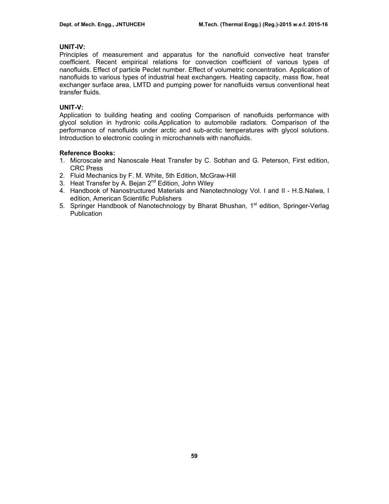# **UNIT-IV:**

Principles of measurement and apparatus for the nanofluid convective heat transfer coefficient. Recent empirical relations for convection coefficient of various types of nanofluids. Effect of particle Peclet number. Effect of volumetric concentration. Application of nanofluids to various types of industrial heat exchangers. Heating capacity, mass flow, heat exchanger surface area, LMTD and pumping power for nanofluids versus conventional heat transfer fluids.

# **UNIT-V:**

Application to building heating and cooling Comparison of nanofluids performance with glycol solution in hydronic coils.Application to automobile radiators. Comparison of the performance of nanofluids under arctic and sub-arctic temperatures with glycol solutions. Introduction to electronic cooling in microchannels with nanofluids.

# **Reference Books:**

- 1. Microscale and Nanoscale Heat Transfer by C. Sobhan and G. Peterson, First edition, CRC Press
- 2. Fluid Mechanics by F. M. White, 5th Edition, McGraw-Hill
- 3. Heat Transfer by A. Beian  $2^{nd}$  Edition, John Wiley
- 4. Handbook of Nanostructured Materials and Nanotechnology Vol. I and II H.S.Nalwa, I edition, American Scientific Publishers
- 5. Springer Handbook of Nanotechnology by Bharat Bhushan, 1<sup>st</sup> edition, Springer-Verlag **Publication**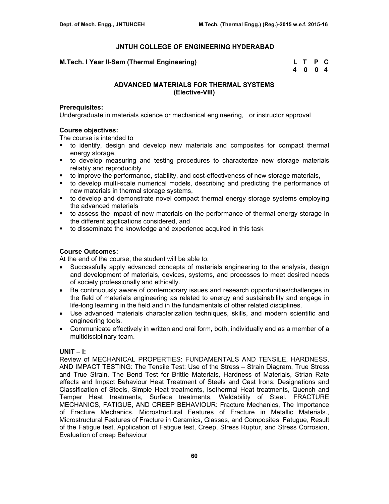### **M.Tech. I Year II-Sem (Thermal Engineering)**

| M.Tech. I Year II-Sem (Thermal Engineering) | L T P C |  |
|---------------------------------------------|---------|--|
|                                             | 4 0 0 4 |  |

## **ADVANCED MATERIALS FOR THERMAL SYSTEMS (Elective-VIII)**

#### **Prerequisites:**

Undergraduate in materials science or mechanical engineering, or instructor approval

## **Course objectives:**

The course is intended to

- to identify, design and develop new materials and composites for compact thermal energy storage,
- to develop measuring and testing procedures to characterize new storage materials reliably and reproducibly
- to improve the performance, stability, and cost-effectiveness of new storage materials,
- to develop multi-scale numerical models, describing and predicting the performance of new materials in thermal storage systems,
- to develop and demonstrate novel compact thermal energy storage systems employing the advanced materials
- to assess the impact of new materials on the performance of thermal energy storage in the different applications considered, and
- to disseminate the knowledge and experience acquired in this task

# **Course Outcomes:**

At the end of the course, the student will be able to:

- Successfully apply advanced concepts of materials engineering to the analysis, design and development of materials, devices, systems, and processes to meet desired needs of society professionally and ethically.
- Be continuously aware of contemporary issues and research opportunities/challenges in the field of materials engineering as related to energy and sustainability and engage in life-long learning in the field and in the fundamentals of other related disciplines.
- Use advanced materials characterization techniques, skills, and modern scientific and engineering tools.
- Communicate effectively in written and oral form, both, individually and as a member of a multidisciplinary team.

## **UNIT – I:**

Review of MECHANICAL PROPERTIES: FUNDAMENTALS AND TENSILE, HARDNESS, AND IMPACT TESTING: The Tensile Test: Use of the Stress – Strain Diagram, True Stress and True Strain, The Bend Test for Brittle Materials, Hardness of Materials, Strian Rate effects and Impact Behaviour Heat Treatment of Steels and Cast Irons: Designations and Classification of Steels, Simple Heat treatments, Isothermal Heat treatments, Quench and Temper Heat treatments, Surface treatments, Weldability of Steel. FRACTURE MECHANICS, FATIGUE, AND CREEP BEHAVIOUR: Fracture Mechanics, The Importance of Fracture Mechanics, Microstructural Features of Fracture in Metallic Materials., Microstructural Features of Fracture in Ceramics, Glasses, and Composites, Fatugue, Result of the Fatigue test, Application of Fatigue test, Creep, Stress Ruptur, and Stress Corrosion, Evaluation of creep Behaviour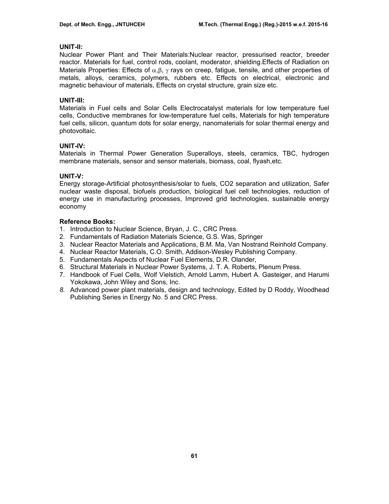## **UNIT-II:**

Nuclear Power Plant and Their Materials:Nuclear reactor, pressurised reactor, breeder reactor. Materials for fuel, control rods, coolant, moderator, shielding.Effects of Radiation on Materials Properties: Effects of  $\alpha, \beta, \gamma$  rays on creep, fatigue, tensile, and other properties of metals, alloys, ceramics, polymers, rubbers etc. Effects on electrical, electronic and magnetic behaviour of materials, Effects on crystal structure, grain size etc.

# **UNIT-III:**

Materials in Fuel cells and Solar Cells Electrocatalyst materials for low temperature fuel cells, Conductive membranes for low-temperature fuel cells, Materials for high temperature fuel cells, silicon, quantum dots for solar energy, nanomaterials for solar thermal energy and photovoltaic.

# **UNIT-IV:**

Materials in Thermal Power Generation Superalloys, steels, ceramics, TBC, hydrogen membrane materials, sensor and sensor materials, biomass, coal, flyash,etc.

# **UNIT-V:**

Energy storage-Artificial photosynthesis/solar to fuels, CO2 separation and utilization, Safer nuclear waste disposal, biofuels production, biological fuel cell technologies, reduction of energy use in manufacturing processes, Improved grid technologies, sustainable energy economy

## **Reference Books:**

- 1. Introduction to Nuclear Science, Bryan, J. C., CRC Press.
- 2. Fundamentals of Radiation Materials Science, G.S. Was, Springer
- 3. Nuclear Reactor Materials and Applications, B.M. Ma, Van Nostrand Reinhold Company.
- 4. Nuclear Reactor Materials, C.O. Smith, Addison-Wesley Publishing Company.
- 5. Fundamentals Aspects of Nuclear Fuel Elements, D.R. Olander,
- 6. Structural Materials in Nuclear Power Systems, J. T. A. Roberts, Plenum Press.
- 7. Handbook of Fuel Cells, Wolf Vielstich, Arnold Lamm, Hubert A. Gasteiger, and Harumi Yokokawa, John Wiley and Sons, Inc.
- *8.* Advanced power plant materials, design and technology, Edited by D Roddy, Woodhead Publishing Series in Energy No. 5 and CRC Press.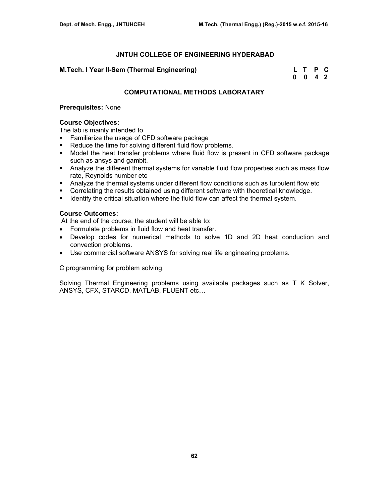# **M.Tech. I Year II-Sem (Thermal Engineering)**

| M.Tech. I Year II-Sem (Thermal Engineering) | L T P C |  |
|---------------------------------------------|---------|--|
|                                             | 0 0 4 2 |  |

# **COMPUTATIONAL METHODS LABORATARY**

### **Prerequisites:** None

### **Course Objectives:**

The lab is mainly intended to

- **Familiarize the usage of CFD software package**
- Reduce the time for solving different fluid flow problems.
- Model the heat transfer problems where fluid flow is present in CFD software package such as ansys and gambit.
- Analyze the different thermal systems for variable fluid flow properties such as mass flow rate, Reynolds number etc
- Analyze the thermal systems under different flow conditions such as turbulent flow etc
- Correlating the results obtained using different software with theoretical knowledge.
- **IDENTIFY IDENTIFY THE CRITT CONTERT IDENTIFY CONTER IDENTIFY** IDENTIFY IDENTIFY IDENTIFY IDENTIFY IDENTIFY IDENTIFY

### **Course Outcomes:**

At the end of the course, the student will be able to:

- Formulate problems in fluid flow and heat transfer.
- Develop codes for numerical methods to solve 1D and 2D heat conduction and convection problems.
- Use commercial software ANSYS for solving real life engineering problems.

C programming for problem solving.

Solving Thermal Engineering problems using available packages such as T K Solver, ANSYS, CFX, STARCD, MATLAB, FLUENT etc…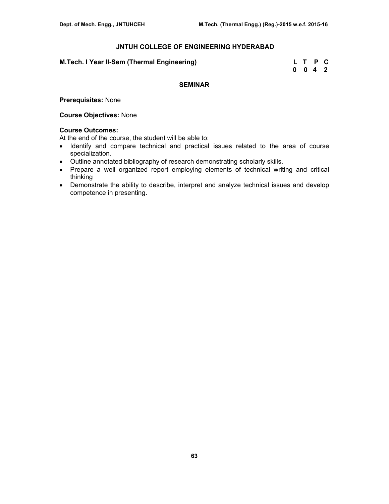| M.Tech. I Year II-Sem (Thermal Engineering) |  | L T P C |  |
|---------------------------------------------|--|---------|--|
|                                             |  | 0 0 4 2 |  |

# **SEMINAR**

**Prerequisites:** None

### **Course Objectives:** None

## **Course Outcomes:**

At the end of the course, the student will be able to:

- Identify and compare technical and practical issues related to the area of course specialization.
- Outline annotated bibliography of research demonstrating scholarly skills.
- Prepare a well organized report employing elements of technical writing and critical thinking
- Demonstrate the ability to describe, interpret and analyze technical issues and develop competence in presenting.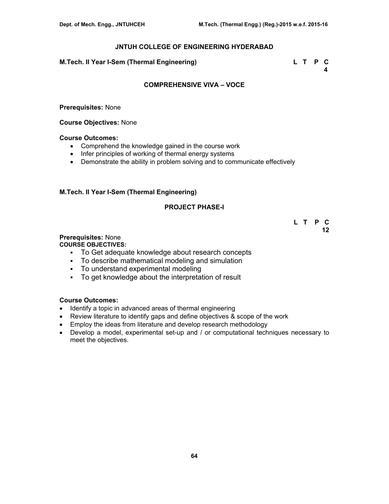**M.Tech. II Year I-Sem (Thermal Engineering) L T P C** 

 **4** 

## **COMPREHENSIVE VIVA – VOCE**

**Prerequisites:** None

**Course Objectives:** None

### **Course Outcomes:**

- Comprehend the knowledge gained in the course work
- Infer principles of working of thermal energy systems
- Demonstrate the ability in problem solving and to communicate effectively

# **M.Tech. II Year I-Sem (Thermal Engineering)**

# **PROJECT PHASE-I**

 **L T P C 12** 

**Prerequisites:** None

**COURSE OBJECTIVES:** 

- To Get adequate knowledge about research concepts
- To describe mathematical modeling and simulation
- To understand experimental modeling
- To get knowledge about the interpretation of result

# **Course Outcomes:**

- Identify a topic in advanced areas of thermal engineering
- Review literature to identify gaps and define objectives & scope of the work
- Employ the ideas from literature and develop research methodology
- Develop a model, experimental set-up and / or computational techniques necessary to meet the objectives.